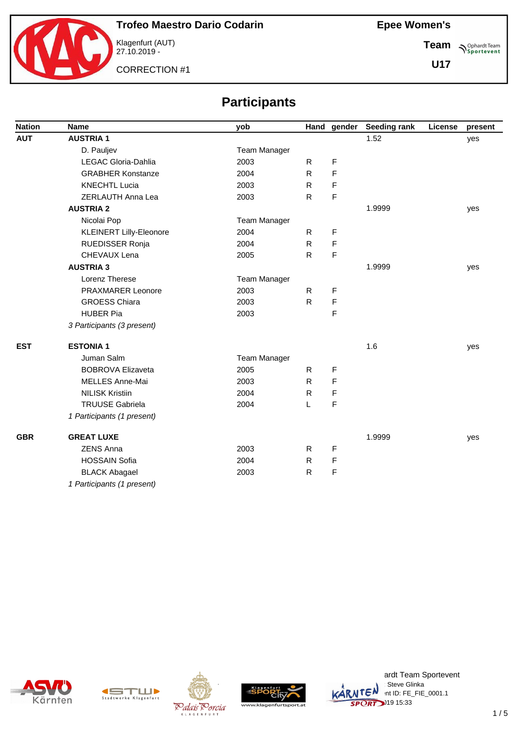

**Team Sportevent** 

**U17**

CORRECTION #1

# **Participants**

| <b>Nation</b> | <b>Name</b>                    | yob                 |              | Hand gender | <b>Seeding rank</b> | License | present |
|---------------|--------------------------------|---------------------|--------------|-------------|---------------------|---------|---------|
| <b>AUT</b>    | <b>AUSTRIA1</b>                |                     |              |             | 1.52                |         | yes     |
|               | D. Pauljev                     | <b>Team Manager</b> |              |             |                     |         |         |
|               | LEGAC Gloria-Dahlia            | 2003                | $\mathsf{R}$ | F           |                     |         |         |
|               | <b>GRABHER Konstanze</b>       | 2004                | R.           | F           |                     |         |         |
|               | <b>KNECHTL Lucia</b>           | 2003                | $\mathsf{R}$ | F           |                     |         |         |
|               | ZERLAUTH Anna Lea              | 2003                | ${\sf R}$    | F           |                     |         |         |
|               | <b>AUSTRIA 2</b>               |                     |              |             | 1.9999              |         | yes     |
|               | Nicolai Pop                    | <b>Team Manager</b> |              |             |                     |         |         |
|               | <b>KLEINERT Lilly-Eleonore</b> | 2004                | R            | F           |                     |         |         |
|               | RUEDISSER Ronja                | 2004                | $\mathsf{R}$ | F           |                     |         |         |
|               | CHEVAUX Lena                   | 2005                | R            | F           |                     |         |         |
|               | <b>AUSTRIA 3</b>               |                     |              |             | 1.9999              |         | yes     |
|               | Lorenz Therese                 | Team Manager        |              |             |                     |         |         |
|               | PRAXMARER Leonore              | 2003                | R            | F           |                     |         |         |
|               | <b>GROESS Chiara</b>           | 2003                | R            | F           |                     |         |         |
|               | <b>HUBER Pia</b>               | 2003                |              | F           |                     |         |         |
|               | 3 Participants (3 present)     |                     |              |             |                     |         |         |
| <b>EST</b>    | <b>ESTONIA1</b>                |                     |              |             | 1.6                 |         | yes     |
|               | Juman Salm                     | <b>Team Manager</b> |              |             |                     |         |         |
|               | <b>BOBROVA Elizaveta</b>       | 2005                | R            | F           |                     |         |         |
|               | MELLES Anne-Mai                | 2003                | R.           | F           |                     |         |         |
|               | <b>NILISK Kristiin</b>         | 2004                | $\mathsf{R}$ | F           |                     |         |         |
|               | <b>TRUUSE Gabriela</b>         | 2004                | L            | F           |                     |         |         |
|               | 1 Participants (1 present)     |                     |              |             |                     |         |         |
| <b>GBR</b>    | <b>GREAT LUXE</b>              |                     |              |             | 1.9999              |         | yes     |
|               | <b>ZENS Anna</b>               | 2003                | R            | F           |                     |         |         |
|               | <b>HOSSAIN Sofia</b>           | 2004                | R            | F           |                     |         |         |
|               | <b>BLACK Abagael</b>           | 2003                | $\mathsf{R}$ | F           |                     |         |         |
|               | 1 Participants (1 present)     |                     |              |             |                     |         |         |









ardt Team Sportevent<br>∷Steve Glinka **License: Steve Glinka**  $\overline{C}$ <sup>N</sup>  $\cdot$ nt ID: FE\_FIE\_0001.1 **SPORT** 19 15:33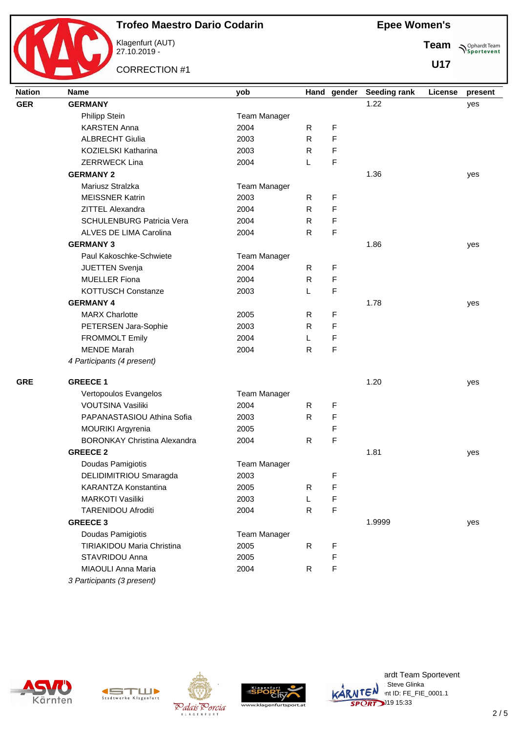

Klagenfurt (AUT) 27.10.2019 -

CORRECTION #1

**Epee Women's**

**Team Sportevent** 

**U17**

| <b>Nation</b> | <b>Name</b>                         | yob                 |              |             | Hand gender Seeding rank | License | present |
|---------------|-------------------------------------|---------------------|--------------|-------------|--------------------------|---------|---------|
| <b>GER</b>    | <b>GERMANY</b>                      |                     |              |             | 1.22                     |         | yes     |
|               | <b>Philipp Stein</b>                | Team Manager        |              |             |                          |         |         |
|               | <b>KARSTEN Anna</b>                 | 2004                | R.           | F           |                          |         |         |
|               | <b>ALBRECHT Giulia</b>              | 2003                | $\mathsf{R}$ | F           |                          |         |         |
|               | KOZIELSKI Katharina                 | 2003                | $\mathsf{R}$ | F           |                          |         |         |
|               | <b>ZERRWECK Lina</b>                | 2004                | L            | F           |                          |         |         |
|               | <b>GERMANY 2</b>                    |                     |              |             | 1.36                     |         | yes     |
|               | Mariusz Stralzka                    | <b>Team Manager</b> |              |             |                          |         |         |
|               | <b>MEISSNER Katrin</b>              | 2003                | $\mathsf{R}$ | F           |                          |         |         |
|               | ZITTEL Alexandra                    | 2004                | $\mathsf{R}$ | F           |                          |         |         |
|               | <b>SCHULENBURG Patricia Vera</b>    | 2004                | $\mathsf{R}$ | $\mathsf F$ |                          |         |         |
|               | ALVES DE LIMA Carolina              | 2004                | $\mathsf{R}$ | F           |                          |         |         |
|               | <b>GERMANY 3</b>                    |                     |              |             | 1.86                     |         | yes     |
|               | Paul Kakoschke-Schwiete             | Team Manager        |              |             |                          |         |         |
|               | JUETTEN Svenja                      | 2004                | R            | F           |                          |         |         |
|               | <b>MUELLER Fiona</b>                | 2004                | R            | F           |                          |         |         |
|               | KOTTUSCH Constanze                  | 2003                | L            | F           |                          |         |         |
|               | <b>GERMANY 4</b>                    |                     |              |             | 1.78                     |         | yes     |
|               | <b>MARX Charlotte</b>               | 2005                | R            | F           |                          |         |         |
|               | PETERSEN Jara-Sophie                | 2003                | R            | F           |                          |         |         |
|               | <b>FROMMOLT Emily</b>               | 2004                | L            | F           |                          |         |         |
|               | <b>MENDE Marah</b>                  | 2004                | $\mathsf{R}$ | F           |                          |         |         |
|               | 4 Participants (4 present)          |                     |              |             |                          |         |         |
| <b>GRE</b>    | <b>GREECE 1</b>                     |                     |              |             | 1.20                     |         | yes     |
|               | Vertopoulos Evangelos               | <b>Team Manager</b> |              |             |                          |         |         |
|               | VOUTSINA Vasiliki                   | 2004                | $\mathsf{R}$ | F           |                          |         |         |
|               | PAPANASTASIOU Athina Sofia          | 2003                | $\mathsf{R}$ | F           |                          |         |         |
|               | MOURIKI Argyrenia                   | 2005                |              | F           |                          |         |         |
|               | <b>BORONKAY Christina Alexandra</b> | 2004                | R            | F           |                          |         |         |
|               | <b>GREECE 2</b>                     |                     |              |             | 1.81                     |         | yes     |
|               | Doudas Pamigiotis                   | <b>Team Manager</b> |              |             |                          |         |         |
|               | DELIDIMITRIOU Smaragda              | 2003                |              | F           |                          |         |         |
|               | KARANTZA Konstantina                | 2005                | R            | F           |                          |         |         |
|               | <b>MARKOTI Vasiliki</b>             | 2003                | L            | F           |                          |         |         |
|               | <b>TARENIDOU Afroditi</b>           | 2004                | $\mathsf{R}$ | $\mathsf F$ |                          |         |         |
|               | <b>GREECE 3</b>                     |                     |              |             | 1.9999                   |         | yes     |
|               | Doudas Pamigiotis                   | Team Manager        |              |             |                          |         |         |
|               | <b>TIRIAKIDOU Maria Christina</b>   | 2005                | $\mathsf{R}$ | F           |                          |         |         |
|               | STAVRIDOU Anna                      | 2005                |              | F           |                          |         |         |
|               | MIAOULI Anna Maria                  | 2004                | $\mathsf{R}$ | F           |                          |         |         |
|               | 3 Participants (3 present)          |                     |              |             |                          |         |         |









ardt Team Sportevent **License: Steve Glinka**  $\overline{C}$ <sup>N</sup>  $\cdot$ nt ID: FE\_FIE\_0001.1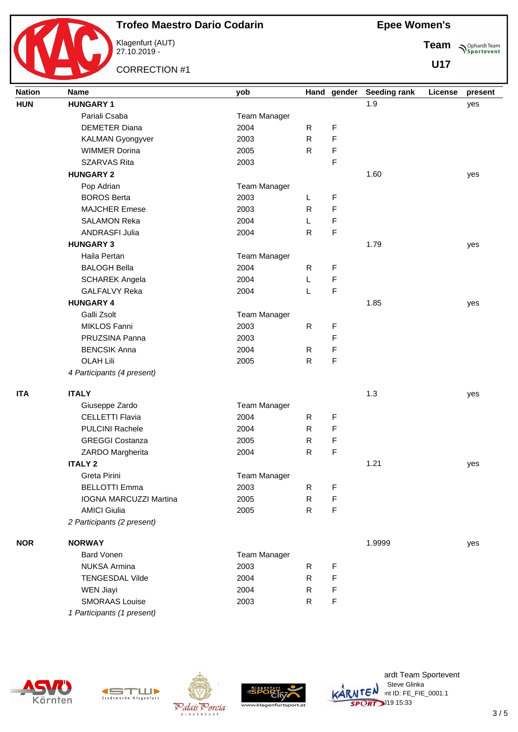

Klagenfurt (AUT) 27.10.2019 -

CORRECTION #1

**Epee Women's**

**Team Sportevent** 

| <b>Nation</b> | <b>Name</b>                | yob                 |              | Hand gender | <b>Seeding rank</b> | License | present |
|---------------|----------------------------|---------------------|--------------|-------------|---------------------|---------|---------|
| <b>HUN</b>    | <b>HUNGARY 1</b>           |                     |              |             | 1.9                 |         | yes     |
|               | Pariali Csaba              | <b>Team Manager</b> |              |             |                     |         |         |
|               | <b>DEMETER Diana</b>       | 2004                | R            | F           |                     |         |         |
|               | <b>KALMAN Gyongyver</b>    | 2003                | $\mathsf{R}$ | F           |                     |         |         |
|               | <b>WIMMER Dorina</b>       | 2005                | R            | F           |                     |         |         |
|               | <b>SZARVAS Rita</b>        | 2003                |              | F           |                     |         |         |
|               | <b>HUNGARY 2</b>           |                     |              |             | 1.60                |         | yes     |
|               | Pop Adrian                 | Team Manager        |              |             |                     |         |         |
|               | <b>BOROS Berta</b>         | 2003                | L            | F           |                     |         |         |
|               | <b>MAJCHER Emese</b>       | 2003                | R            | F           |                     |         |         |
|               | <b>SALAMON Reka</b>        | 2004                | L            | F           |                     |         |         |
|               | <b>ANDRASFI Julia</b>      | 2004                | $\mathsf{R}$ | F           |                     |         |         |
|               | <b>HUNGARY 3</b>           |                     |              |             | 1.79                |         | yes     |
|               | Haila Pertan               | <b>Team Manager</b> |              |             |                     |         |         |
|               | <b>BALOGH Bella</b>        | 2004                | $\mathsf{R}$ | F           |                     |         |         |
|               | <b>SCHAREK Angela</b>      | 2004                | L            | F           |                     |         |         |
|               | <b>GALFALVY Reka</b>       | 2004                | L            | F           |                     |         |         |
|               | <b>HUNGARY 4</b>           |                     |              |             | 1.85                |         | yes     |
|               | Galli Zsolt                | Team Manager        |              |             |                     |         |         |
|               | MIKLOS Fanni               | 2003                | $\mathsf{R}$ | F           |                     |         |         |
|               | PRUZSINA Panna             | 2003                |              | F           |                     |         |         |
|               | <b>BENCSIK Anna</b>        | 2004                | R            | F           |                     |         |         |
|               | <b>OLAH Lili</b>           | 2005                | ${\sf R}$    | F           |                     |         |         |
|               | 4 Participants (4 present) |                     |              |             |                     |         |         |
| <b>ITA</b>    | <b>ITALY</b>               |                     |              |             | 1.3                 |         | yes     |
|               | Giuseppe Zardo             | Team Manager        |              |             |                     |         |         |
|               | <b>CELLETTI Flavia</b>     | 2004                | R            | F           |                     |         |         |
|               | <b>PULCINI Rachele</b>     | 2004                | $\mathsf{R}$ | F           |                     |         |         |
|               | <b>GREGGI Costanza</b>     | 2005                | ${\sf R}$    | F           |                     |         |         |
|               | ZARDO Margherita           | 2004                | $\mathsf{R}$ | F           |                     |         |         |
|               | <b>ITALY 2</b>             |                     |              |             | 1.21                |         | yes     |
|               | Greta Pirini               | Team Manager        |              |             |                     |         |         |
|               | <b>BELLOTTI Emma</b>       | 2003                | R            | F           |                     |         |         |
|               | IOGNA MARCUZZI Martina     | 2005                | $\mathsf{R}$ | F           |                     |         |         |
|               | <b>AMICI Giulia</b>        | 2005                | R            | $\mathsf F$ |                     |         |         |
|               | 2 Participants (2 present) |                     |              |             |                     |         |         |
| <b>NOR</b>    | <b>NORWAY</b>              |                     |              |             | 1.9999              |         | yes     |
|               | <b>Bard Vonen</b>          | <b>Team Manager</b> |              |             |                     |         |         |
|               | <b>NUKSA Armina</b>        | 2003                | $\mathsf{R}$ | F           |                     |         |         |
|               | <b>TENGESDAL Vilde</b>     | 2004                | R.           | F           |                     |         |         |
|               | <b>WEN Jiayi</b>           | 2004                | R            | F           |                     |         |         |
|               | <b>SMORAAS Louise</b>      | 2003                | R            | F           |                     |         |         |
|               | 1 Participants (1 present) |                     |              |             |                     |         |         |









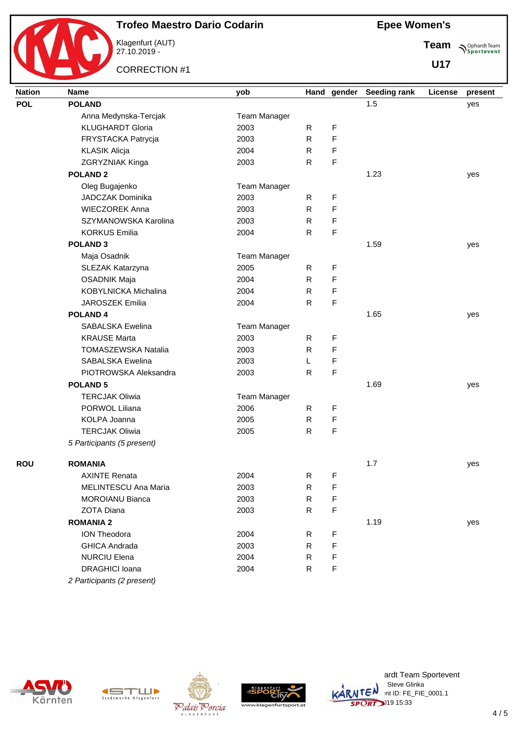

Klagenfurt (AUT) 27.10.2019 -

CORRECTION #1

**Team Sportevent** 

| <b>Nation</b> | <b>Name</b>                | yob                 |              | Hand gender | <b>Seeding rank</b> | License | present |
|---------------|----------------------------|---------------------|--------------|-------------|---------------------|---------|---------|
| <b>POL</b>    | <b>POLAND</b>              |                     |              |             | 1.5                 |         | yes     |
|               | Anna Medynska-Tercjak      | <b>Team Manager</b> |              |             |                     |         |         |
|               | <b>KLUGHARDT Gloria</b>    | 2003                | R            | $\mathsf F$ |                     |         |         |
|               | FRYSTACKA Patrycja         | 2003                | $\mathsf{R}$ | F           |                     |         |         |
|               | <b>KLASIK Alicja</b>       | 2004                | R.           | F           |                     |         |         |
|               | ZGRYZNIAK Kinga            | 2003                | R            | $\mathsf F$ |                     |         |         |
|               | <b>POLAND 2</b>            |                     |              |             | 1.23                |         | yes     |
|               | Oleg Bugajenko             | Team Manager        |              |             |                     |         |         |
|               | <b>JADCZAK Dominika</b>    | 2003                | R            | F           |                     |         |         |
|               | <b>WIECZOREK Anna</b>      | 2003                | $\mathsf{R}$ | F           |                     |         |         |
|               | SZYMANOWSKA Karolina       | 2003                | $\mathsf{R}$ | F           |                     |         |         |
|               | <b>KORKUS Emilia</b>       | 2004                | R            | $\mathsf F$ |                     |         |         |
|               | <b>POLAND 3</b>            |                     |              |             | 1.59                |         | yes     |
|               | Maja Osadnik               | Team Manager        |              |             |                     |         |         |
|               | SLEZAK Katarzyna           | 2005                | $\mathsf{R}$ | F           |                     |         |         |
|               | <b>OSADNIK Maja</b>        | 2004                | R            | F           |                     |         |         |
|               | KOBYLNICKA Michalina       | 2004                | R.           | F           |                     |         |         |
|               | <b>JAROSZEK Emilia</b>     | 2004                | $\mathsf{R}$ | F           |                     |         |         |
|               | <b>POLAND4</b>             |                     |              |             | 1.65                |         | yes     |
|               | SABALSKA Ewelina           | Team Manager        |              |             |                     |         |         |
|               | <b>KRAUSE Marta</b>        | 2003                | R.           | F           |                     |         |         |
|               | TOMASZEWSKA Natalia        | 2003                | $\mathsf{R}$ | $\mathsf F$ |                     |         |         |
|               | SABALSKA Ewelina           | 2003                | L            | F           |                     |         |         |
|               | PIOTROWSKA Aleksandra      | 2003                | ${\sf R}$    | $\mathsf F$ |                     |         |         |
|               | <b>POLAND 5</b>            |                     |              |             | 1.69                |         | yes     |
|               | <b>TERCJAK Oliwia</b>      | <b>Team Manager</b> |              |             |                     |         |         |
|               | PORWOL Liliana             | 2006                | R            | $\mathsf F$ |                     |         |         |
|               | KOLPA Joanna               | 2005                | $\mathsf{R}$ | $\mathsf F$ |                     |         |         |
|               | <b>TERCJAK Oliwia</b>      | 2005                | R            | $\mathsf F$ |                     |         |         |
|               | 5 Participants (5 present) |                     |              |             |                     |         |         |
| <b>ROU</b>    | <b>ROMANIA</b>             |                     |              |             | 1.7                 |         |         |
|               | <b>AXINTE Renata</b>       | 2004                | $\mathsf R$  | F           |                     |         | yes     |
|               | MELINTESCU Ana Maria       |                     | $\mathsf R$  |             |                     |         |         |
|               |                            | 2003                |              | F           |                     |         |         |
|               | <b>MOROIANU Bianca</b>     | 2003                | R            | F           |                     |         |         |
|               | ZOTA Diana                 | 2003                | R.           | F           |                     |         |         |
|               | <b>ROMANIA 2</b>           |                     |              |             | 1.19                |         | yes     |
|               | ION Theodora               | 2004                | R            | F           |                     |         |         |
|               | <b>GHICA Andrada</b>       | 2003                | R            | F           |                     |         |         |
|               | <b>NURCIU Elena</b>        | 2004                | R            | F           |                     |         |         |
|               | DRAGHICI Ioana             | 2004                | $\mathsf{R}$ | $\mathsf F$ |                     |         |         |
|               | 2 Participants (2 present) |                     |              |             |                     |         |         |









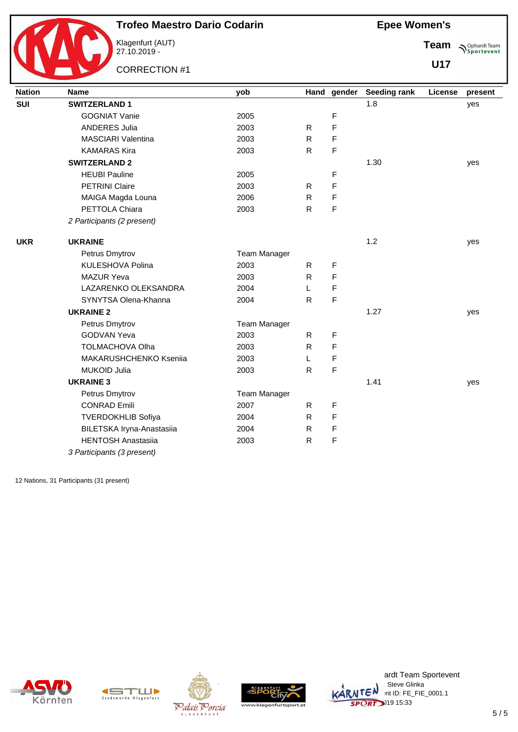

Klagenfurt (AUT) 27.10.2019 -

CORRECTION #1

**Team Sportevent** 

**U17**

| <b>Nation</b> | <b>Name</b>                | yob                 |              | Hand gender | <b>Seeding rank</b> | License | present |
|---------------|----------------------------|---------------------|--------------|-------------|---------------------|---------|---------|
| <b>SUI</b>    | <b>SWITZERLAND 1</b>       |                     |              |             | 1.8                 |         | yes     |
|               | <b>GOGNIAT Vanie</b>       | 2005                |              | F           |                     |         |         |
|               | <b>ANDERES Julia</b>       | 2003                | R.           | F           |                     |         |         |
|               | <b>MASCIARI Valentina</b>  | 2003                | $\mathsf{R}$ | F           |                     |         |         |
|               | <b>KAMARAS Kira</b>        | 2003                | $\mathsf{R}$ | F           |                     |         |         |
|               | <b>SWITZERLAND 2</b>       |                     |              |             | 1.30                |         | yes     |
|               | <b>HEUBI Pauline</b>       | 2005                |              | F           |                     |         |         |
|               | <b>PETRINI Claire</b>      | 2003                | R            | F           |                     |         |         |
|               | MAIGA Magda Louna          | 2006                | R            | F           |                     |         |         |
|               | PETTOLA Chiara             | 2003                | ${\sf R}$    | F           |                     |         |         |
|               | 2 Participants (2 present) |                     |              |             |                     |         |         |
| <b>UKR</b>    | <b>UKRAINE</b>             |                     |              |             | 1.2                 |         | yes     |
|               | Petrus Dmytrov             | <b>Team Manager</b> |              |             |                     |         |         |
|               | KULESHOVA Polina           | 2003                | R            | F           |                     |         |         |
|               | <b>MAZUR Yeva</b>          | 2003                | R            | F           |                     |         |         |
|               | LAZARENKO OLEKSANDRA       | 2004                | L            | F           |                     |         |         |
|               | SYNYTSA Olena-Khanna       | 2004                | $\mathsf{R}$ | F           |                     |         |         |
|               | <b>UKRAINE 2</b>           |                     |              |             | 1.27                |         | yes     |
|               | Petrus Dmytrov             | <b>Team Manager</b> |              |             |                     |         |         |
|               | <b>GODVAN Yeva</b>         | 2003                | $\mathsf{R}$ | F           |                     |         |         |
|               | TOLMACHOVA Olha            | 2003                | R            | F           |                     |         |         |
|               | MAKARUSHCHENKO Kseniia     | 2003                | L            | F           |                     |         |         |
|               | <b>MUKOID Julia</b>        | 2003                | $\mathsf{R}$ | F           |                     |         |         |
|               | <b>UKRAINE 3</b>           |                     |              |             | 1.41                |         | yes     |
|               | Petrus Dmytrov             | <b>Team Manager</b> |              |             |                     |         |         |
|               | <b>CONRAD Emili</b>        | 2007                | R            | F           |                     |         |         |
|               | <b>TVERDOKHLIB Sofiya</b>  | 2004                | R            | F           |                     |         |         |
|               | BILETSKA Iryna-Anastasiia  | 2004                | R            | F           |                     |         |         |
|               | <b>HENTOSH Anastasiia</b>  | 2003                | ${\sf R}$    | $\mathsf F$ |                     |         |         |
|               | 3 Participants (3 present) |                     |              |             |                     |         |         |

12 Nations, 31 Participants (31 present)











ardt Team Sportevent : Steve Glinka  $K\hat{A}RNTEN$  nt ID: FE\_FIE\_0001.1 **SPORT** 19 15:33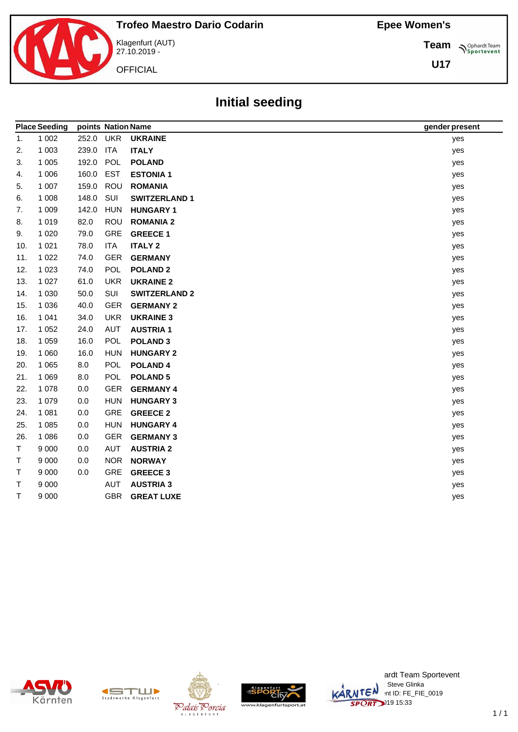**Team**

**U17**

**Sportevent** 

 $\overline{\phantom{0}}$ 



Klagenfurt (AUT) 27.10.2019 -

**OFFICIAL** 

**Initial seeding**

|     | <b>Place Seeding</b> | points Nation Name |            |                      | gender present |
|-----|----------------------|--------------------|------------|----------------------|----------------|
| 1.  | 1 0 0 2              | 252.0              | <b>UKR</b> | <b>UKRAINE</b>       | yes            |
| 2.  | 1 0 0 3              | 239.0              | <b>ITA</b> | <b>ITALY</b>         | yes            |
| 3.  | 1 0 0 5              | 192.0              | POL        | <b>POLAND</b>        | yes            |
| 4.  | 1 0 0 6              | 160.0              | <b>EST</b> | <b>ESTONIA1</b>      | yes            |
| 5.  | 1 0 0 7              | 159.0              | ROU        | <b>ROMANIA</b>       | yes            |
| 6.  | 1 0 0 8              | 148.0              | SUI        | <b>SWITZERLAND 1</b> | yes            |
| 7.  | 1 0 0 9              | 142.0              | <b>HUN</b> | <b>HUNGARY 1</b>     | yes            |
| 8.  | 1 0 1 9              | 82.0               | <b>ROU</b> | <b>ROMANIA 2</b>     | yes            |
| 9.  | 1 0 2 0              | 79.0               | GRE        | <b>GREECE 1</b>      | yes            |
| 10. | 1 0 2 1              | 78.0               | <b>ITA</b> | <b>ITALY 2</b>       | yes            |
| 11. | 1 0 2 2              | 74.0               | <b>GER</b> | <b>GERMANY</b>       | yes            |
| 12. | 1 0 2 3              | 74.0               | POL        | <b>POLAND 2</b>      | yes            |
| 13. | 1 0 2 7              | 61.0               | <b>UKR</b> | <b>UKRAINE 2</b>     | yes            |
| 14. | 1 0 3 0              | 50.0               | SUI        | <b>SWITZERLAND 2</b> | yes            |
| 15. | 1 0 3 6              | 40.0               | <b>GER</b> | <b>GERMANY 2</b>     | yes            |
| 16. | 1 0 4 1              | 34.0               | <b>UKR</b> | <b>UKRAINE 3</b>     | yes            |
| 17. | 1 0 5 2              | 24.0               | <b>AUT</b> | <b>AUSTRIA1</b>      | yes            |
| 18. | 1 0 5 9              | 16.0               | <b>POL</b> | <b>POLAND 3</b>      | yes            |
| 19. | 1 0 6 0              | 16.0               | <b>HUN</b> | <b>HUNGARY 2</b>     | yes            |
| 20. | 1 0 6 5              | 8.0                | <b>POL</b> | <b>POLAND4</b>       | yes            |
| 21. | 1 0 6 9              | 8.0                | <b>POL</b> | <b>POLAND 5</b>      | yes            |
| 22. | 1 0 7 8              | 0.0                | <b>GER</b> | <b>GERMANY 4</b>     | yes            |
| 23. | 1 0 7 9              | 0.0                | <b>HUN</b> | <b>HUNGARY 3</b>     | yes            |
| 24. | 1 0 8 1              | 0.0                | GRE        | <b>GREECE 2</b>      | yes            |
| 25. | 1 0 8 5              | 0.0                | <b>HUN</b> | <b>HUNGARY 4</b>     | yes            |
| 26. | 1 0 8 6              | 0.0                | <b>GER</b> | <b>GERMANY 3</b>     | yes            |
| T.  | 9 0 0 0              | 0.0                | <b>AUT</b> | <b>AUSTRIA 2</b>     | yes            |
| т   | 9 0 0 0              | 0.0                | <b>NOR</b> | <b>NORWAY</b>        | yes            |
| Т   | 9 0 0 0              | 0.0                | GRE        | <b>GREECE 3</b>      | yes            |
| т   | 9 0 0 0              |                    | AUT        | <b>AUSTRIA 3</b>     | yes            |
| T   | 9 0 0 0              |                    | <b>GBR</b> | <b>GREAT LUXE</b>    | yes            |
|     |                      |                    |            |                      |                |











ardt Team Sportevent **License: Steve Glinka**  $\overline{\mathsf{L}}\mathsf{C}^{\mathsf{N}}$  int ID: FE\_FIE\_0019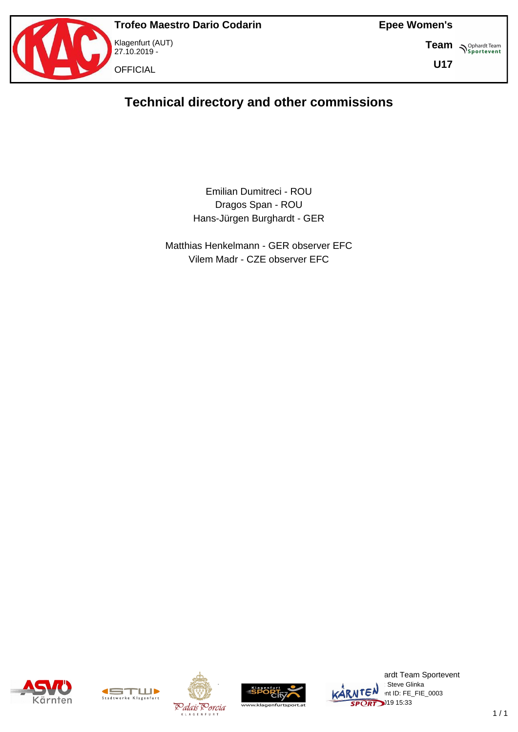

Klagenfurt (AUT) 27.10.2019 - **OFFICIAL** 

**Epee Women's**

**Team S**<sup>Ophardt Team</sub></sup>

**U17**

# **Technical directory and other commissions**

Emilian Dumitreci - ROU Dragos Span - ROU Hans-Jürgen Burghardt - GER

Matthias Henkelmann - GER observer EFC Vilem Madr - CZE observer EFC









ardt Team Sportevent : Steve Glinka  $\overline{\text{MTEN}}$  intid: FE\_FIE\_0003  $\overline{\text{SPORT}}$ <sup>319</sup> 15:33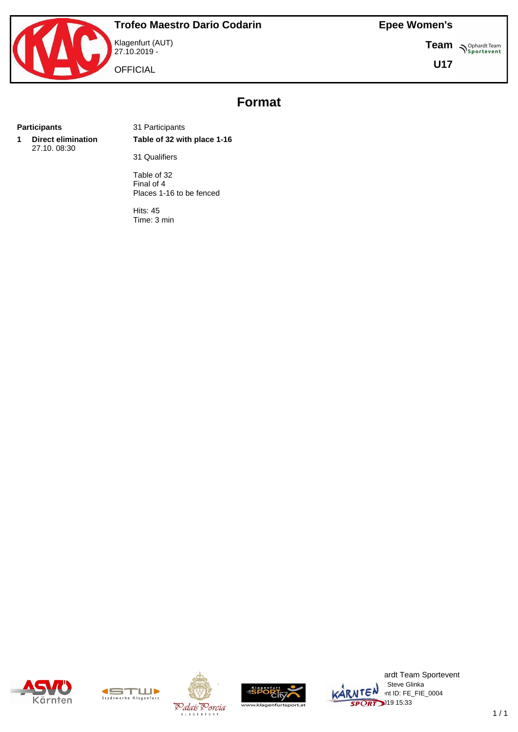**Team** *S<sup>Ophardt Team*<br> *S*<sup>P</sup> Sportevent</sup>

**U17**



**OFFICIAL** 

# **Format**

**1 Direct elimination** 27.10. 08:30

**Participants** 31 Participants **Table of 32 with place 1-16**

31 Qualifiers

Table of 32 Final of 4 Places 1-16 to be fenced

Hits: 45 Time: 3 min











ardt Team Sportevent : Steve Glinka  $KARNTEN$  nt ID: FE\_FIE\_0004  $\overline{\text{SPORT}}$ <sup>219</sup> 15:33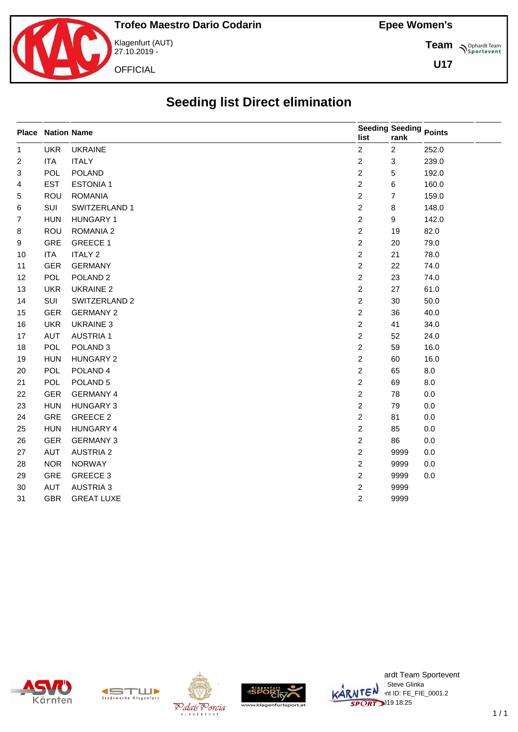

27.10.2019 -

**Team** *S<sup>Ophardt Team*<br> *S*<sup>P</sup> Sportevent</sup>

**U17**

# **Seeding list Direct elimination**

|                | <b>Place Nation Name</b> |                     | list           | <b>Seeding Seeding Points</b><br>rank |       |
|----------------|--------------------------|---------------------|----------------|---------------------------------------|-------|
| $\mathbf{1}$   | <b>UKR</b>               | <b>UKRAINE</b>      | $\overline{c}$ | $\overline{2}$                        | 252.0 |
| $\overline{c}$ | <b>ITA</b>               | <b>ITALY</b>        | $\overline{c}$ | 3                                     | 239.0 |
| 3              | <b>POL</b>               | <b>POLAND</b>       | $\overline{2}$ | 5                                     | 192.0 |
| 4              | <b>EST</b>               | <b>ESTONIA1</b>     | $\overline{c}$ | 6                                     | 160.0 |
| 5              | <b>ROU</b>               | <b>ROMANIA</b>      | $\overline{2}$ | $\overline{7}$                        | 159.0 |
| 6              | SUI                      | SWITZERLAND 1       | $\overline{c}$ | 8                                     | 148.0 |
| $\overline{7}$ | <b>HUN</b>               | <b>HUNGARY 1</b>    | $\overline{2}$ | 9                                     | 142.0 |
| 8              | ROU                      | ROMANIA 2           | $\overline{2}$ | 19                                    | 82.0  |
| 9              | <b>GRE</b>               | <b>GREECE 1</b>     | $\overline{c}$ | 20                                    | 79.0  |
| 10             | <b>ITA</b>               | <b>ITALY 2</b>      | $\overline{c}$ | 21                                    | 78.0  |
| 11             | <b>GER</b>               | <b>GERMANY</b>      | $\overline{c}$ | 22                                    | 74.0  |
| 12             | <b>POL</b>               | POLAND <sub>2</sub> | $\overline{c}$ | 23                                    | 74.0  |
| 13             | <b>UKR</b>               | <b>UKRAINE 2</b>    | $\overline{c}$ | 27                                    | 61.0  |
| 14             | SUI                      | SWITZERLAND 2       | $\mathbf{2}$   | 30                                    | 50.0  |
| 15             | <b>GER</b>               | <b>GERMANY 2</b>    | $\overline{c}$ | 36                                    | 40.0  |
| 16             | <b>UKR</b>               | <b>UKRAINE 3</b>    | $\overline{c}$ | 41                                    | 34.0  |
| 17             | <b>AUT</b>               | <b>AUSTRIA1</b>     | $\overline{2}$ | 52                                    | 24.0  |
| 18             | <b>POL</b>               | POLAND <sub>3</sub> | $\overline{c}$ | 59                                    | 16.0  |
| 19             | <b>HUN</b>               | <b>HUNGARY 2</b>    | $\overline{2}$ | 60                                    | 16.0  |
| 20             | <b>POL</b>               | POLAND <sub>4</sub> | $\overline{c}$ | 65                                    | 8.0   |
| 21             | <b>POL</b>               | POLAND <sub>5</sub> | $\overline{c}$ | 69                                    | 8.0   |
| 22             | <b>GER</b>               | <b>GERMANY 4</b>    | $\overline{c}$ | 78                                    | 0.0   |
| 23             | <b>HUN</b>               | <b>HUNGARY 3</b>    | $\overline{2}$ | 79                                    | 0.0   |
| 24             | <b>GRE</b>               | GREECE 2            | $\overline{c}$ | 81                                    | 0.0   |
| 25             | <b>HUN</b>               | HUNGARY 4           | $\overline{2}$ | 85                                    | 0.0   |
| 26             | <b>GER</b>               | <b>GERMANY 3</b>    | $\overline{2}$ | 86                                    | 0.0   |
| 27             | AUT                      | <b>AUSTRIA 2</b>    | $\overline{c}$ | 9999                                  | 0.0   |
| 28             | <b>NOR</b>               | <b>NORWAY</b>       | $\overline{2}$ | 9999                                  | 0.0   |
| 29             | GRE                      | GREECE 3            | $\overline{c}$ | 9999                                  | 0.0   |
| 30             | <b>AUT</b>               | <b>AUSTRIA 3</b>    | $\overline{c}$ | 9999                                  |       |
| 31             | <b>GBR</b>               | <b>GREAT LUXE</b>   | $\overline{2}$ | 9999                                  |       |









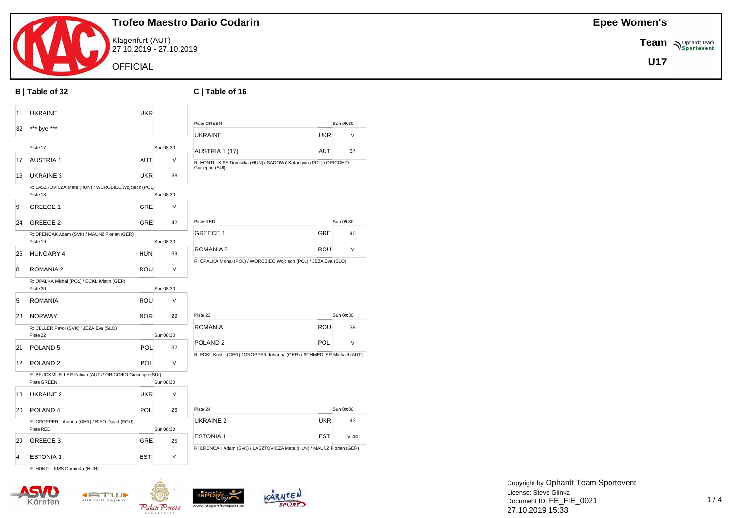

Klagenfurt (AUT) 27.10.2019 - 27.10.2019

**OFFICIAL** 

#### **B | Table of 32 C | Table of 16**

| 1                       | <b>UKRAINE</b>                                                        | <b>UKR</b> |           |                                                                                      |            |           |
|-------------------------|-----------------------------------------------------------------------|------------|-----------|--------------------------------------------------------------------------------------|------------|-----------|
|                         |                                                                       |            |           | Piste GREEN                                                                          |            | Sun 09:30 |
| 32                      | *** bye ***                                                           |            |           | <b>UKRAINE</b>                                                                       | <b>UKR</b> | V         |
|                         | Piste 17                                                              |            | Sun 08:30 | AUSTRIA 1 (17)                                                                       | <b>AUT</b> | 37        |
| 17                      | <b>AUSTRIA 1</b>                                                      | <b>AUT</b> | V         | R: HONTI - KISS Dominika (HUN) / SADOWY Katarzyna (POL) / ORICCHIO<br>Giuseppe (SUI) |            |           |
| 16                      | <b>UKRAINE 3</b>                                                      | <b>UKR</b> | 38        |                                                                                      |            |           |
|                         | R: LASZTOVICZA Mate (HUN) / WOROBIEC Wojciech (POL)<br>Piste 18       |            | Sun 08:30 |                                                                                      |            |           |
| 9                       | <b>GREECE 1</b>                                                       | GRE        | V         |                                                                                      |            |           |
| 24                      | <b>GREECE 2</b>                                                       | GRE        | 42        | Piste RED                                                                            |            | Sun 09:30 |
|                         | R: DRENCAK Adam (SVK) / MAUNZ Florian (GER)<br>Piste 19               |            | Sun 08:30 | GREECE 1                                                                             | <b>GRE</b> | 40        |
| 25                      | <b>HUNGARY 4</b>                                                      | <b>HUN</b> | 39        | ROMANIA 2                                                                            | <b>ROU</b> | $\vee$    |
| 8                       | ROMANIA 2                                                             | <b>ROU</b> | $\vee$    | R: OPALKA Michal (POL) / WOROBIEC Wojciech (POL) / JEZA Eva (SLO)                    |            |           |
|                         | R: OPALKA Michal (POL) / ECKL Kristin (GER)<br>Piste 20               |            | Sun 08:30 |                                                                                      |            |           |
| 5                       | <b>ROMANIA</b>                                                        | <b>ROU</b> | V         |                                                                                      |            |           |
| 28                      | <b>NORWAY</b>                                                         | <b>NOR</b> | 29        | Piste 23                                                                             |            | Sun 09:30 |
|                         | R: CELLER Pavol (SVK) / JEZA Eva (SLO)                                |            |           | <b>ROMANIA</b>                                                                       | <b>ROU</b> | 39        |
|                         | Piste 22                                                              |            | Sun 08:30 |                                                                                      |            |           |
| 21                      | POLAND <sub>5</sub>                                                   | POL        | 32        | POLAND <sub>2</sub>                                                                  | POL        | $\vee$    |
| 12                      | POLAND <sub>2</sub>                                                   | POL        | $\vee$    | R: ECKL Kristin (GER) / GROPPER Johanna (GER) / SCHMEDLER Michael (AUT)              |            |           |
|                         | R: BRUCKMUELLER Fabian (AUT) / ORICCHIO Giuseppe (SUI)<br>Piste GREEN |            | Sun 08:30 |                                                                                      |            |           |
| 13                      | UKRAINE 2                                                             | <b>UKR</b> | V         |                                                                                      |            |           |
| 20                      | POLAND <sub>4</sub>                                                   | POL        | 26        | Piste 24                                                                             |            | Sun 09:30 |
|                         | R: GROPPER Johanna (GER) / BIRO David (ROU)<br>Piste RED              |            | Sun 08:30 | <b>UKRAINE 2</b>                                                                     | <b>UKR</b> | 43        |
| 29                      | GREECE 3                                                              | <b>GRE</b> | 25        | <b>ESTONIA1</b>                                                                      | <b>EST</b> | $V$ 44    |
| $\overline{\mathbf{4}}$ | <b>ESTONIA1</b>                                                       | <b>EST</b> | $\vee$    | R: DRENCAK Adam (SVK) / LASZTOVICZA Mate (HUN) / MAUNZ Florian (GER)                 |            |           |
|                         |                                                                       |            |           |                                                                                      |            |           |

R: HONTI - KISS Dominika (HUN)







**Epee Women's**

**Team**  $\sum_{\text{Sportevent}}$ **U17**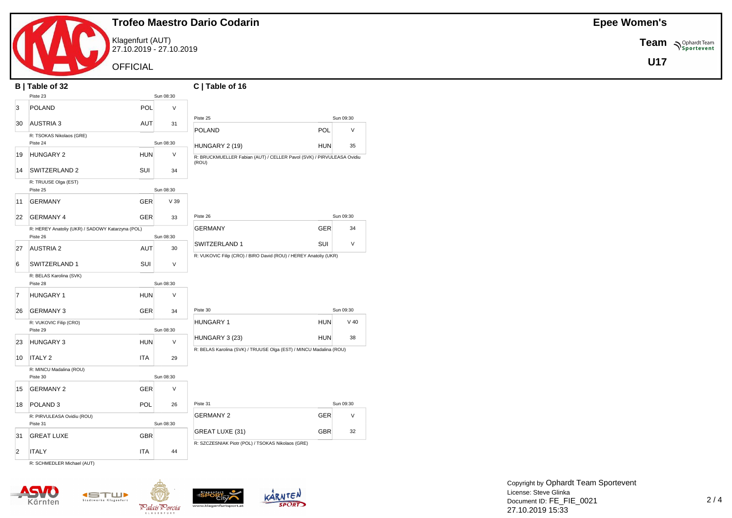

Klagenfurt (AUT) 27.10.2019 - 27.10.2019

**OFFICIAL** 

|                | B   Table of 32                                              |                 | C   Table of 16                                                                                    |           |
|----------------|--------------------------------------------------------------|-----------------|----------------------------------------------------------------------------------------------------|-----------|
|                | Piste 23                                                     | Sun 08:30       |                                                                                                    |           |
| 3              | POL<br><b>POLAND</b>                                         | $\vee$          |                                                                                                    |           |
| 30             | <b>AUSTRIA 3</b><br>AUT                                      | 31              | Piste 25                                                                                           | Sun 09:30 |
|                | R: TSOKAS Nikolaos (GRE)                                     |                 | POL<br><b>POLAND</b>                                                                               | $\vee$    |
|                | Piste 24                                                     | Sun 08:30       | <b>HUN</b><br>HUNGARY 2 (19)                                                                       | 35        |
| 19             | <b>HUN</b><br><b>HUNGARY 2</b>                               | V               | R: BRUCKMUELLER Fabian (AUT) / CELLER Pavol (SVK) / PIRVULEASA Ovidiu<br>(ROU)                     |           |
| 14             | SUI<br>SWITZERLAND 2                                         | 34              |                                                                                                    |           |
|                | R: TRUUSE Olga (EST)<br>Piste 25                             | Sun 08:30       |                                                                                                    |           |
| 11             | <b>GERMANY</b><br><b>GER</b>                                 | V <sub>39</sub> |                                                                                                    |           |
| 22             | <b>GERMANY 4</b><br><b>GER</b>                               | 33              | Piste 26                                                                                           | Sun 09:30 |
|                | R: HEREY Anatoliy (UKR) / SADOWY Katarzyna (POL)<br>Piste 26 | Sun 08:30       | <b>GERMANY</b><br><b>GER</b>                                                                       | 34        |
| 27             | <b>AUSTRIA 2</b><br><b>AUT</b>                               | 30              | SUI<br>SWITZERLAND 1<br>R: VUKOVIC Filip (CRO) / BIRO David (ROU) / HEREY Anatoliy (UKR)           | $\vee$    |
| 6              | SUI<br>SWITZERLAND 1                                         | $\vee$          |                                                                                                    |           |
|                | R: BELAS Karolina (SVK)<br>Piste 28                          | Sun 08:30       |                                                                                                    |           |
| $\overline{7}$ | <b>HUNGARY 1</b><br>HUN                                      | V               |                                                                                                    |           |
| 26             | <b>GER</b><br><b>GERMANY 3</b>                               | 34              | Piste 30                                                                                           | Sun 09:30 |
|                | R: VUKOVIC Filip (CRO)<br>Piste 29                           | Sun 08:30       | <b>HUNGARY 1</b><br><b>HUN</b>                                                                     | $V$ 40    |
| 23             | <b>HUNGARY 3</b><br><b>HUN</b>                               | $\vee$          | <b>HUN</b><br>HUNGARY 3 (23)<br>R: BELAS Karolina (SVK) / TRUUSE Olga (EST) / MINCU Madalina (ROU) | 38        |
| 10             | <b>ITALY 2</b><br><b>ITA</b>                                 | 29              |                                                                                                    |           |
|                | R: MINCU Madalina (ROU)<br>Piste 30                          | Sun 08:30       |                                                                                                    |           |
| 15             | <b>GERMANY 2</b><br><b>GER</b>                               | $\vee$          |                                                                                                    |           |
| 18             | POL<br>POLAND <sub>3</sub>                                   | 26              | Piste 31                                                                                           | Sun 09:30 |
|                | R: PIRVULEASA Ovidiu (ROU)<br>Piste 31                       | Sun 08:30       | <b>GER</b><br><b>GERMANY 2</b>                                                                     | $\vee$    |
| 31             | <b>GBR</b><br><b>GREAT LUXE</b>                              |                 | <b>GBR</b><br>GREAT LUXE (31)<br>R: SZCZESNIAK Piotr (POL) / TSOKAS Nikolaos (GRE)                 | 32        |
| $\overline{2}$ | <b>ITA</b><br><b>ITALY</b>                                   | 44              |                                                                                                    |           |
|                | D. COUMENLED Michael (AUT)                                   |                 |                                                                                                    |           |

R: SCHMEDLER Michael (AUT)









**Epee Women's**

**Team**  $\sum_{\text{Sportevent}}$ **U17**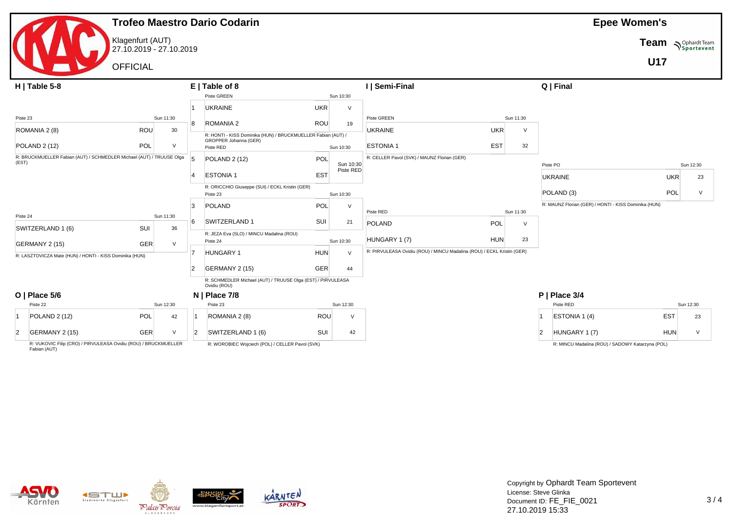|                                                                               |                                             |           |                | <b>Trofeo Maestro Dario Codarin</b>                                         |            |           |                                                                        |            |           |                                                      | <b>Epee Women's</b> |            |
|-------------------------------------------------------------------------------|---------------------------------------------|-----------|----------------|-----------------------------------------------------------------------------|------------|-----------|------------------------------------------------------------------------|------------|-----------|------------------------------------------------------|---------------------|------------|
|                                                                               | Klagenfurt (AUT)<br>27.10.2019 - 27.10.2019 |           |                |                                                                             |            |           |                                                                        |            |           |                                                      | Team                | Sportevent |
|                                                                               | <b>OFFICIAL</b>                             |           |                |                                                                             |            |           |                                                                        |            |           |                                                      | <b>U17</b>          |            |
| $H$   Table 5-8                                                               |                                             |           |                | $E$   Table of 8                                                            |            |           | I   Semi-Final                                                         |            |           | Q   Final                                            |                     |            |
|                                                                               |                                             |           |                | Piste GREEN                                                                 |            | Sun 10:30 |                                                                        |            |           |                                                      |                     |            |
|                                                                               |                                             |           |                | <b>UKRAINE</b>                                                              | <b>UKR</b> | v         |                                                                        |            |           |                                                      |                     |            |
| Piste 23                                                                      |                                             | Sun 11:30 | <sup>8</sup>   | ROMANIA 2                                                                   | ROU        | 19        | Piste GREEN                                                            |            | Sun 11:30 |                                                      |                     |            |
| ROMANIA 2 (8)                                                                 | ROU                                         | 30        |                | R: HONTI - KISS Dominika (HUN) / BRUCKMUELLER Fabian (AUT) /                |            |           | <b>UKRAINE</b>                                                         | <b>UKR</b> | $\vee$    |                                                      |                     |            |
| <b>POLAND 2 (12)</b>                                                          | <b>POL</b>                                  | $\vee$    |                | GROPPER Johanna (GER)<br>Piste RED                                          |            | Sun 10:30 | <b>ESTONIA1</b>                                                        | <b>EST</b> | 32        |                                                      |                     |            |
| R: BRUCKMUELLER Fabian (AUT) / SCHMEDLER Michael (AUT) / TRUUSE Olga<br>(EST) |                                             |           |                | <b>POLAND 2 (12)</b>                                                        | POL        | Sun 10:30 | R: CELLER Pavol (SVK) / MAUNZ Florian (GER)                            |            |           | Piste PO                                             |                     | Sun 12:30  |
|                                                                               |                                             |           |                | <b>ESTONIA1</b>                                                             | <b>EST</b> | Piste RED |                                                                        |            |           | <b>UKRAINE</b>                                       | <b>UKR</b>          | 23         |
|                                                                               |                                             |           |                | R: ORICCHIO Giuseppe (SUI) / ECKL Kristin (GER)                             |            |           |                                                                        |            |           | POLAND <sub>(3)</sub>                                | <b>POL</b>          |            |
|                                                                               |                                             |           |                | Piste 23                                                                    |            | Sun 10:30 |                                                                        |            |           |                                                      |                     | V          |
|                                                                               |                                             |           | 3              | POLAND                                                                      | POL        | $\vee$    | Piste RED                                                              |            | Sun 11:30 | R: MAUNZ Florian (GER) / HONTI - KISS Dominika (HUN) |                     |            |
| Piste 24                                                                      |                                             | Sun 11:30 | 6              | SWITZERLAND 1                                                               | SUI        | 21        | POLAND                                                                 | POL        | $\vee$    |                                                      |                     |            |
| SWITZERLAND 1 (6)                                                             | SUI                                         | 36        |                | R: JEZA Eva (SLO) / MINCU Madalina (ROU)                                    |            |           |                                                                        |            |           |                                                      |                     |            |
| GERMANY 2 (15)                                                                | GER                                         | $\vee$    |                | Piste 24                                                                    |            | Sun 10:30 | HUNGARY 1 (7)                                                          | <b>HUN</b> | 23        |                                                      |                     |            |
| R: LASZTOVICZA Mate (HUN) / HONTI - KISS Dominika (HUN)                       |                                             |           |                | <b>HUNGARY 1</b>                                                            | HUN        | $\vee$    | R: PIRVULEASA Ovidiu (ROU) / MINCU Madalina (ROU) / ECKL Kristin (GER) |            |           |                                                      |                     |            |
|                                                                               |                                             |           | $\overline{2}$ | GERMANY 2 (15)                                                              | <b>GER</b> | 44        |                                                                        |            |           |                                                      |                     |            |
|                                                                               |                                             |           |                | R: SCHMEDLER Michael (AUT) / TRUUSE Olga (EST) / PIRVULEASA<br>Ovidiu (ROU) |            |           |                                                                        |            |           |                                                      |                     |            |
| $O$   Place 5/6                                                               |                                             |           |                | $N$   Place 7/8                                                             |            |           |                                                                        |            |           | P   Place 3/4                                        |                     |            |
| Piste 22                                                                      |                                             | Sun 12:30 |                | Piste 23                                                                    |            | Sun 12:30 |                                                                        |            |           | Piste RED                                            |                     | Sun 12:30  |
| <b>POLAND 2 (12)</b>                                                          | POL                                         | 42        |                | ROMANIA 2 (8)                                                               | ROU        | $\vee$    |                                                                        |            |           | ESTONIA 1 (4)                                        | <b>EST</b>          | 23         |
| GERMANY 2 (15)<br>$\overline{2}$                                              | GER                                         | $\vee$    | $\overline{2}$ | SWITZERLAND 1 (6)                                                           | SUI        | 42        |                                                                        |            |           | HUNGARY 1 (7)<br>$\overline{2}$                      | <b>HUN</b>          | $\vee$     |
| <b>D. VIIKOVIC Filip (CRO) / DIRVI II EASA Ovidiu (ROLI) / RRHCKMHELLER</b>   |                                             |           |                | D. WODODIEC Weisiask (DOL) (CELLED Daval (CVIA)                             |            |           |                                                                        |            |           | D. MINOU Medaline (DOU) (CADOMN Ketermine            | (0)                 |            |

R: VUKOVIC Filip (CRO) / PIRVULEASA Ovidiu (ROU) / BRUCKMUELLER Fabian (AUT)

R: WOROBIEC Wojciech (POL) / CELLER Pavol (SVK)

R: MINCU Madalina (ROU) / SADOWY Katarzyna (POL)







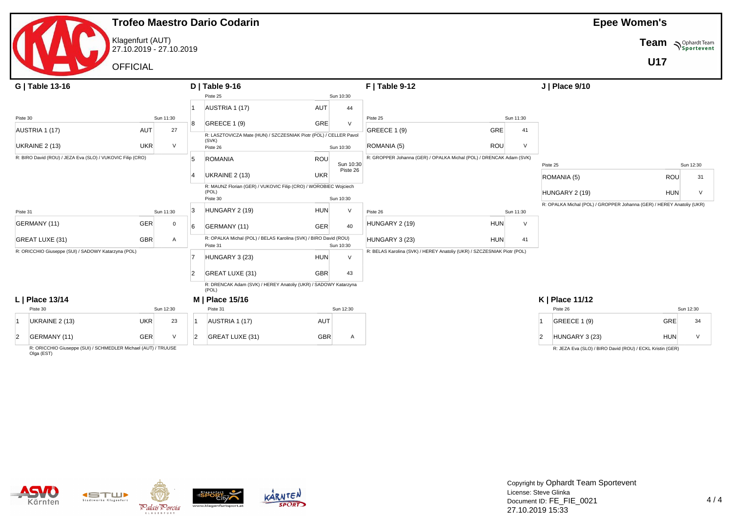|                |                                                            |                                             |           |                | <b>Trofeo Maestro Dario Codarin</b>                                          |            |           |                                                                         |                      |                |                                                                       | <b>Epee Women's</b> |            |
|----------------|------------------------------------------------------------|---------------------------------------------|-----------|----------------|------------------------------------------------------------------------------|------------|-----------|-------------------------------------------------------------------------|----------------------|----------------|-----------------------------------------------------------------------|---------------------|------------|
|                |                                                            | Klagenfurt (AUT)<br>27.10.2019 - 27.10.2019 |           |                |                                                                              |            |           |                                                                         |                      |                |                                                                       | Team                | Sportevent |
|                |                                                            | <b>OFFICIAL</b>                             |           |                |                                                                              |            |           |                                                                         |                      |                |                                                                       | <b>U17</b>          |            |
|                | G   Table 13-16                                            |                                             |           |                | $D$   Table 9-16                                                             |            |           | <b>F</b>   Table 9-12                                                   |                      |                | J   Place 9/10                                                        |                     |            |
|                |                                                            |                                             |           |                | Piste 25                                                                     |            | Sun 10:30 |                                                                         |                      |                |                                                                       |                     |            |
|                |                                                            |                                             |           |                | AUSTRIA 1 (17)                                                               | AUT        | 44        |                                                                         |                      |                |                                                                       |                     |            |
| Piste 30       |                                                            |                                             | Sun 11:30 | 8              | <b>GREECE 1 (9)</b>                                                          | GRE        | $\vee$    | Piste 25                                                                | Sun 11:30            |                |                                                                       |                     |            |
|                | AUSTRIA 1 (17)                                             | AUT                                         | 27        |                | R: LASZTOVICZA Mate (HUN) / SZCZESNIAK Piotr (POL) / CELLER Pavol<br>(SVK)   |            |           | <b>GREECE 1 (9)</b>                                                     | GRE<br>41            |                |                                                                       |                     |            |
|                | UKRAINE 2 (13)                                             | <b>UKR</b>                                  | $\vee$    |                | Piste 26                                                                     |            | Sun 10:30 | ROMANIA (5)                                                             | ROU<br>$\vee$        |                |                                                                       |                     |            |
|                | R: BIRO David (ROU) / JEZA Eva (SLO) / VUKOVIC Filip (CRO) |                                             |           | 5              | <b>ROMANIA</b>                                                               | ROU        | Sun 10:30 | R: GROPPER Johanna (GER) / OPALKA Michal (POL) / DRENCAK Adam (SVK)     |                      |                | Piste 25                                                              |                     | Sun 12:30  |
|                |                                                            |                                             |           |                | UKRAINE 2 (13)                                                               | <b>UKR</b> | Piste 26  |                                                                         |                      |                | ROMANIA (5)                                                           | ROU                 | 31         |
|                |                                                            |                                             |           |                | R: MAUNZ Florian (GER) / VUKOVIC Filip (CRO) / WOROBIEC Wojciech             |            |           |                                                                         |                      |                |                                                                       |                     |            |
|                |                                                            |                                             |           |                | (POL)<br>Piste 30                                                            |            | Sun 10:30 |                                                                         |                      |                | HUNGARY 2 (19)                                                        | <b>HUN</b>          | $\vee$     |
| Piste 31       |                                                            |                                             | Sun 11:30 | 3              | HUNGARY 2 (19)                                                               | <b>HUN</b> |           | Piste 26                                                                | Sun 11:30            |                | R: OPALKA Michal (POL) / GROPPER Johanna (GER) / HEREY Anatoliy (UKR) |                     |            |
|                | GERMANY (11)                                               | GER                                         | 0         | 6              | GERMANY (11)                                                                 | <b>GER</b> | 40        | HUNGARY 2 (19)                                                          | <b>HUN</b><br>$\vee$ |                |                                                                       |                     |            |
|                | GREAT LUXE (31)                                            | <b>GBR</b>                                  | Α         |                | R: OPALKA Michal (POL) / BELAS Karolina (SVK) / BIRO David (ROU)<br>Piste 31 |            | Sun 10:30 | HUNGARY 3 (23)                                                          | <b>HUN</b><br>41     |                |                                                                       |                     |            |
|                | R: ORICCHIO Giuseppe (SUI) / SADOWY Katarzyna (POL)        |                                             |           |                | HUNGARY 3 (23)                                                               | <b>HUN</b> | $\vee$    | R: BELAS Karolina (SVK) / HEREY Anatoliy (UKR) / SZCZESNIAK Piotr (POL) |                      |                |                                                                       |                     |            |
|                |                                                            |                                             |           | $\overline{2}$ | GREAT LUXE (31)                                                              | <b>GBR</b> | 43        |                                                                         |                      |                |                                                                       |                     |            |
|                |                                                            |                                             |           |                | R: DRENCAK Adam (SVK) / HEREY Anatoliy (UKR) / SADOWY Katarzyna<br>(POL)     |            |           |                                                                         |                      |                |                                                                       |                     |            |
|                | L   Place 13/14                                            |                                             |           |                | M   Place 15/16                                                              |            |           |                                                                         |                      |                | K   Place 11/12                                                       |                     |            |
|                | Piste 30                                                   |                                             | Sun 12:30 |                | Piste 31                                                                     |            | Sun 12:30 |                                                                         |                      |                | Piste 26                                                              |                     | Sun 12:30  |
|                | UKRAINE 2 (13)                                             | <b>UKR</b>                                  | 23        |                | AUSTRIA 1 (17)                                                               | AUT        |           |                                                                         |                      |                | GREECE 1 (9)                                                          | <b>GRE</b>          | 34         |
| $\overline{2}$ | GERMANY (11)                                               | GER                                         | $\vee$    | $\overline{2}$ | GREAT LUXE (31)                                                              | <b>GBR</b> | A         |                                                                         |                      | $\overline{2}$ | HUNGARY 3 (23)                                                        | <b>HUN</b>          | $\vee$     |

R: ORICCHIO Giuseppe (SUI) / SCHMEDLER Michael (AUT) / TRUUSE Olga (EST)

|              | Piste 26                                                  |     | Sun 12:30 |
|--------------|-----------------------------------------------------------|-----|-----------|
|              | GREECE 1 (9)                                              | GRE | 34        |
| $\mathbf{2}$ | HUNGARY 3 (23)                                            | HUN |           |
|              | R: JEZA Eva (SLO) / BIRO David (ROU) / ECKL Kristin (GER) |     |           |

Kärnten







Copyright by Ophardt Team Sportevent License: Steve Glinka Document ID: FE\_FIE\_0021 27.10.2019 15:33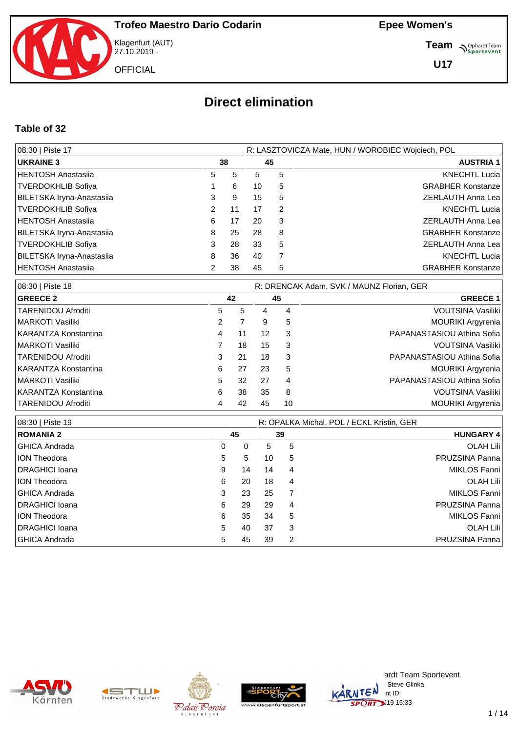

Klagenfurt (AUT) 27.10.2019 -

**Epee Women's**

**Team** *S<sup>Ophardt Team*<br> *S*<sup>P</sup> Sportevent</sup>

**U17**

# **Direct elimination**

#### **Table of 32**

| 08:30   Piste 17          |   |    |    |    | R: LASZTOVICZA Mate, HUN / WOROBIEC Wojciech, POL |
|---------------------------|---|----|----|----|---------------------------------------------------|
| <b>UKRAINE 3</b>          |   | 38 |    | 45 | <b>AUSTRIA 1</b>                                  |
| HENTOSH Anastasija        | 5 | 5  | 5  | 5  | <b>KNECHTL Lucia</b>                              |
| <b>TVERDOKHLIB Sofiya</b> |   | 6  | 10 | 5  | <b>GRABHER Konstanze</b>                          |
| BILETSKA Iryna-Anastasiia | 3 | 9  | 15 | 5  | ZERLAUTH Anna Lea                                 |
| TVERDOKHLIB Sofiya        |   | 11 | 17 | 2  | <b>KNECHTL Lucia</b>                              |
| HENTOSH Anastasiia        | 6 | 17 | 20 | 3  | ZERLAUTH Anna Lea                                 |
| BILETSKA Iryna-Anastasiia | 8 | 25 | 28 | 8  | <b>GRABHER Konstanze</b>                          |
| TVERDOKHLIB Sofiya        | 3 | 28 | 33 | 5  | ZERLAUTH Anna Lea                                 |
| BILETSKA Iryna-Anastasiia | 8 | 36 | 40 | 7  | <b>KNECHTL Lucia</b>                              |
| HENTOSH Anastasija        |   | 38 | 45 | 5  | <b>GRABHER Konstanze</b>                          |

| 08:30   Piste 18     | R: DRENCAK Adam, SVK / MAUNZ Florian, GER |    |    |    |                            |  |  |  |
|----------------------|-------------------------------------------|----|----|----|----------------------------|--|--|--|
| <b>GREECE 2</b>      |                                           | 42 |    | 45 | <b>GREECE 1</b>            |  |  |  |
| TARENIDOU Afroditi   | 5                                         | 5  | 4  | 4  | VOUTSINA Vasiliki          |  |  |  |
| MARKOTI Vasiliki     | 2                                         |    | 9  | 5  | <b>MOURIKI Argyrenia</b>   |  |  |  |
| KARANTZA Konstantina | 4                                         | 11 | 12 | 3  | PAPANASTASIOU Athina Sofia |  |  |  |
| MARKOTI Vasiliki     |                                           | 18 | 15 | -3 | VOUTSINA Vasiliki          |  |  |  |
| TARENIDOU Afroditi   | 3                                         | 21 | 18 | 3  | PAPANASTASIOU Athina Sofia |  |  |  |
| KARANTZA Konstantina | 6                                         | 27 | 23 | 5  | <b>MOURIKI Argyrenia</b>   |  |  |  |
| MARKOTI Vasiliki     | 5                                         | 32 | 27 | 4  | PAPANASTASIOU Athina Sofia |  |  |  |
| KARANTZA Konstantina | 6                                         | 38 | 35 | 8  | VOUTSINA Vasiliki          |  |  |  |
| TARENIDOU Afroditi   | 4                                         | 42 | 45 | 10 | <b>MOURIKI Argyrenia</b>   |  |  |  |

| 08:30   Piste 19       | R: OPALKA Michal, POL / ECKL Kristin, GER |    |    |                |                  |  |  |  |  |
|------------------------|-------------------------------------------|----|----|----------------|------------------|--|--|--|--|
| <b>ROMANIA 2</b>       |                                           | 45 | 39 |                | <b>HUNGARY 4</b> |  |  |  |  |
| <b>GHICA Andrada</b>   | 0                                         | 0  | 5  | 5              | <b>OLAH Lili</b> |  |  |  |  |
| <b>ION Theodora</b>    | 5                                         | 5  | 10 | 5              | PRUZSINA Panna   |  |  |  |  |
| <b>IDRAGHICI Ioana</b> | 9                                         | 14 | 14 | 4              | MIKLOS Fanni     |  |  |  |  |
| <b>ION Theodora</b>    | 6                                         | 20 | 18 | $\overline{4}$ | <b>OLAH Lili</b> |  |  |  |  |
| <b>GHICA Andrada</b>   | 3                                         | 23 | 25 |                | MIKLOS Fanni     |  |  |  |  |
| <b>IDRAGHICI Ioana</b> | 6                                         | 29 | 29 | 4              | PRUZSINA Panna   |  |  |  |  |
| <b>ION Theodora</b>    | 6                                         | 35 | 34 | 5              | MIKLOS Fanni     |  |  |  |  |
| <b>IDRAGHICI Ioana</b> | 5                                         | 40 | 37 | 3              | <b>OLAH Lili</b> |  |  |  |  |
| GHICA Andrada          | 5.                                        | 45 | 39 | 2              | PRUZSINA Panna   |  |  |  |  |









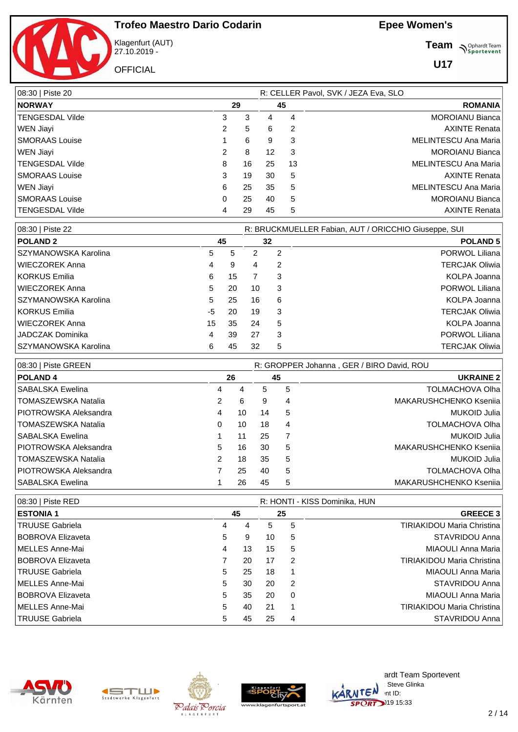

Klagenfurt (AUT) 27.10.2019 -

**OFFICIAL** 

**Team** *S<sup>Ophardt Team*<br>*S*<sup>P</sup> *Sportevent*</sup>

| 08:30   Piste 20            |    |    |    | R: CELLER Pavol, SVK / JEZA Eva, SLO |
|-----------------------------|----|----|----|--------------------------------------|
| <b>NORWAY</b><br>29         |    | 45 |    | <b>ROMANIA</b>                       |
| <b>TENGESDAL Vilde</b><br>3 | 3  | 4  | 4  | <b>MOROIANU Bianca</b>               |
| WEN Jiayi<br>2              | 5  | 6  | 2  | <b>AXINTE Renata</b>                 |
| <b>SMORAAS</b> Louise       | 6  | 9  | 3  | MELINTESCU Ana Maria                 |
| $\overline{2}$<br>WEN Jiayi | 8  | 12 | -3 | <b>MOROIANU Bianca</b>               |
| <b>TENGESDAL Vilde</b><br>8 | 16 | 25 | 13 | MELINTESCU Ana Maria                 |
| 3<br><b>SMORAAS</b> Louise  | 19 | 30 | 5  | <b>AXINTE Renata</b>                 |
| WEN Jiayi<br>6              | 25 | 35 | 5  | MELINTESCU Ana Maria                 |
| <b>SMORAAS</b> Louise<br>0  | 25 | 40 | 5  | <b>MOROIANU Bianca</b>               |
| <b>TENGESDAL Vilde</b><br>4 | 29 | 45 | 5  | <b>AXINTE Renata</b>                 |

| 08:30   Piste 22     |    |    |    |    | R: BRUCKMUELLER Fabian, AUT / ORICCHIO Giuseppe, SUI |
|----------------------|----|----|----|----|------------------------------------------------------|
| <b>POLAND 2</b>      |    | 45 | 32 |    | <b>POLAND 5</b>                                      |
| SZYMANOWSKA Karolina | 5  | 5  | 2  | 2  | PORWOL Liliana                                       |
| WIECZOREK Anna       | 4  | 9  | 4  | 2  | <b>TERCJAK Oliwia</b>                                |
| KORKUS Emilia        | 6  | 15 |    | 3  | KOLPA Joanna                                         |
| WIECZOREK Anna       | 5  | 20 | 10 | -3 | PORWOL Liliana                                       |
| SZYMANOWSKA Karolina | 5  | 25 | 16 | 6  | KOLPA Joanna                                         |
| KORKUS Emilia_       | -5 | 20 | 19 | 3  | <b>TERCJAK Oliwia</b>                                |
| WIECZOREK Anna       | 15 | 35 | 24 | 5  | KOLPA Joanna                                         |
| JADCZAK Dominika     | 4  | 39 | 27 | 3  | PORWOL Liliana                                       |
| SZYMANOWSKA Karolina | 6  | 45 | 32 | 5  | <b>TERCJAK Oliwia</b>                                |

| 08:30   Piste GREEN     |   |    |    |    | R: GROPPER Johanna, GER / BIRO David, ROU |
|-------------------------|---|----|----|----|-------------------------------------------|
| <b>POLAND 4</b>         |   | 26 |    | 45 | <b>UKRAINE 2</b>                          |
| SABALSKA Ewelina        | 4 | 4  | 5  | 5  | <b>TOLMACHOVA Olha</b>                    |
| TOMASZEWSKA Natalia     | 2 | 6  | 9  | 4  | MAKARUSHCHENKO Kseniia                    |
| I PIOTROWSKA Aleksandra | 4 | 10 | 14 | 5  | MUKOID Julia                              |
| l TOMASZEWSKA Natalia   | 0 | 10 | 18 | 4  | <b>TOLMACHOVA Olha</b>                    |
| l SABALSKA Ewelina      |   | 11 | 25 |    | <b>MUKOID Julia</b>                       |
| I PIOTROWSKA Aleksandra | 5 | 16 | 30 | 5  | MAKARUSHCHENKO Ksenija                    |
| TOMASZEWSKA Natalia     | 2 | 18 | 35 | 5  | <b>MUKOID Julia</b>                       |
| PIOTROWSKA Aleksandra   |   | 25 | 40 | 5  | <b>TOLMACHOVA Olha</b>                    |
| l SABALSKA Ewelina      |   | 26 | 45 | 5  | MAKARUSHCHENKO Ksenija                    |

| 08:30   Piste RED        |   |    |    |          | R: HONTI - KISS Dominika, HUN     |
|--------------------------|---|----|----|----------|-----------------------------------|
| <b>ESTONIA 1</b>         |   | 45 |    | 25       | <b>GREECE 3</b>                   |
| TRUUSE Gabriela          | 4 | 4  | 5  | 5        | <b>TIRIAKIDOU Maria Christina</b> |
| <b>BOBROVA Elizaveta</b> | 5 | 9  | 10 | 5        | STAVRIDOU Anna                    |
| MELLES Anne-Mai          | 4 | 13 | 15 | 5        | MIAOULI Anna Maria                |
| <b>BOBROVA Elizaveta</b> |   | 20 | 17 | 2        | <b>TIRIAKIDOU Maria Christina</b> |
| TRUUSE Gabriela          | 5 | 25 | 18 | 1        | MIAOULI Anna Maria                |
| MELLES Anne-Mai          | 5 | 30 | 20 | 2        | STAVRIDOU Anna                    |
| <b>BOBROVA Elizaveta</b> | 5 | 35 | 20 | $\Omega$ | MIAOULI Anna Maria                |
| MELLES Anne-Mai          | 5 | 40 | 21 | 1        | <b>TIRIAKIDOU Maria Christina</b> |
| TRUUSE Gabriela          | 5 | 45 | 25 | 4        | STAVRIDOU Anna                    |









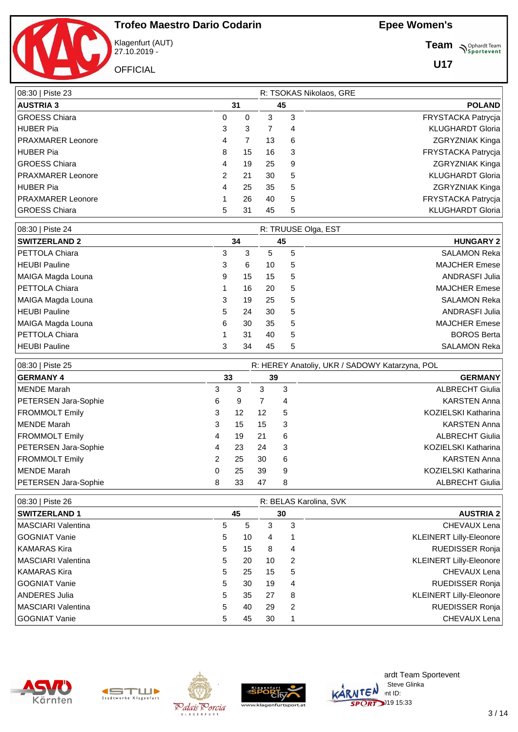

Klagenfurt (AUT) 27.10.2019 -

**OFFICIAL** 

**Team** *S<sup>Ophardt Team*<br>*S*<sup>P</sup> *Sportevent*</sup>

| 08:30   Piste 23         |    |    | R: TSOKAS Nikolaos, GRE |               |                           |
|--------------------------|----|----|-------------------------|---------------|---------------------------|
| <b>AUSTRIA 3</b>         | 31 | 45 |                         | <b>POLAND</b> |                           |
| <b>GROESS Chiara</b>     | 0  | 0  | 3                       | 3             | FRYSTACKA Patrycja        |
| <b>HUBER Pia</b>         | 3  | 3  |                         | 4             | <b>KLUGHARDT Gloria</b>   |
| <b>PRAXMARER Leonore</b> | 4  |    | 13                      | 6             | ZGRYZNIAK Kinga           |
| <b>HUBER Pia</b>         | 8  | 15 | 16                      | 3             | FRYSTACKA Patrycja        |
| <b>GROESS Chiara</b>     | 4  | 19 | 25                      | 9             | ZGRYZNIAK Kinga           |
| <b>PRAXMARER Leonore</b> | 2  | 21 | 30                      | 5             | <b>KLUGHARDT Gloria</b>   |
| <b>HUBER Pia</b>         | 4  | 25 | 35                      | 5             | <b>ZGRYZNIAK Kinga</b>    |
| <b>PRAXMARER Leonore</b> |    | 26 | 40                      | 5             | <b>FRYSTACKA Patrycia</b> |
| <b>GROESS Chiara</b>     | 5  | 31 | 45                      | 5             | <b>KLUGHARDT Gloria</b>   |

| 08:30   Piste 24      |    |    | R: TRUUSE Olga, EST |   |                    |
|-----------------------|----|----|---------------------|---|--------------------|
| <b>SWITZERLAND 2</b>  |    | 34 | 45                  |   | <b>HUNGARY 2</b>   |
| PETTOLA Chiara        | 3  | 3  | 5.                  | 5 | SALAMON Reka       |
| <b>HEUBI Pauline</b>  | 3  | 6  | 10                  | 5 | MAJCHER Emese      |
| MAIGA Magda Louna     | 9  | 15 | 15                  | 5 | ANDRASFI Julia     |
| PETTOLA Chiara        |    | 16 | 20                  | 5 | MAJCHER Emese      |
| MAIGA Magda Louna     | 3  | 19 | 25                  | 5 | SALAMON Reka       |
| <b>HEUBI Pauline</b>  | 5. | 24 | 30                  | 5 | ANDRASFI Julia     |
| MAIGA Magda Louna     | 6  | 30 | 35                  | 5 | MAJCHER Emese      |
| <b>PETTOLA Chiara</b> |    | 31 | 40                  | 5 | <b>BOROS Berta</b> |
| <b>HEUBI Pauline</b>  | 3  | 34 | 45                  | 5 | SALAMON Reka       |

| 08:30   Piste 25      |               |    |    |   | R: HEREY Anatoliy, UKR / SADOWY Katarzyna, POL |
|-----------------------|---------------|----|----|---|------------------------------------------------|
| <b>GERMANY 4</b>      |               | 33 | 39 |   | <b>GERMANY</b>                                 |
| MENDE Marah           | 3             | 3  | 3  | 3 | <b>ALBRECHT Giulia</b>                         |
| PETERSEN Jara-Sophie  | 6             | 9  |    | 4 | <b>KARSTEN Anna</b>                            |
| <b>FROMMOLT Emily</b> | 3             | 12 | 12 | 5 | KOZIELSKI Katharina                            |
| MENDE Marah           | 3             | 15 | 15 | 3 | <b>KARSTEN Anna</b>                            |
| <b>FROMMOLT Emily</b> | 4             | 19 | 21 | 6 | <b>ALBRECHT Giulia</b>                         |
| PETERSEN Jara-Sophie  | 4             | 23 | 24 | 3 | KOZIELSKI Katharina                            |
| <b>FROMMOLT Emily</b> | $\mathcal{P}$ | 25 | 30 | 6 | <b>KARSTEN Anna</b>                            |
| MENDE Marah           | 0             | 25 | 39 | 9 | KOZIELSKI Katharina                            |
| PETERSEN Jara-Sophie  | 8             | 33 | 47 | 8 | <b>ALBRECHT Giulia</b>                         |

| 08:30   Piste 26           |   |    |    |               | R: BELAS Karolina, SVK         |
|----------------------------|---|----|----|---------------|--------------------------------|
| <b>SWITZERLAND 1</b>       |   | 45 |    | 30            | <b>AUSTRIA 2</b>               |
| MASCIARI Valentina         | 5 | 5  | 3  | 3             | CHEVAUX Lena                   |
| l GOGNIAT Vanie            | 5 | 10 | 4  |               | <b>KLEINERT Lilly-Eleonore</b> |
| KAMARAS Kira               | 5 | 15 | 8  | 4             | <b>RUEDISSER Ronja</b>         |
| <b>IMASCIARI Valentina</b> | 5 | 20 | 10 | 2             | <b>KLEINERT Lilly-Eleonore</b> |
| KAMARAS Kira               | 5 | 25 | 15 | 5             | CHEVAUX Lena                   |
| l GOGNIAT Vanie            | 5 | 30 | 19 | 4             | <b>RUEDISSER Ronja</b>         |
| ANDERES Julia              | 5 | 35 | 27 | 8             | <b>KLEINERT Lilly-Eleonore</b> |
| <b>IMASCIARI Valentina</b> | 5 | 40 | 29 | $\mathcal{P}$ | <b>RUEDISSER Ronja</b>         |
| GOGNIAT Vanie              | 5 | 45 | 30 |               | CHEVAUX Lena                   |









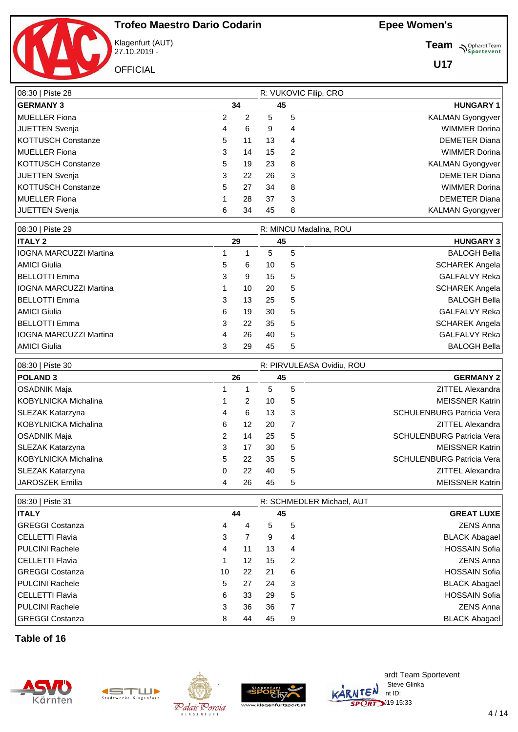

Klagenfurt (AUT) 27.10.2019 -

**OFFICIAL** 

**Team** *S<sup>Ophardt Team*<br> *S*<sup>P</sup> Sportevent</sup>

**U17**

| 08:30   Piste 28   |    |    | R: VUKOVIC Filip, CRO |                |                         |
|--------------------|----|----|-----------------------|----------------|-------------------------|
| <b>GERMANY 3</b>   |    | 34 | 45                    |                | <b>HUNGARY 1</b>        |
| MUELLER Fiona      | 2  | 2  | 5                     | 5              | <b>KALMAN Gyongyver</b> |
| JUETTEN Svenja     | 4  | 6  | 9                     | 4              | <b>WIMMER Dorina</b>    |
| KOTTUSCH Constanze | 5  | 11 | 13                    | 4              | <b>DEMETER Diana</b>    |
| MUELLER Fiona      | 3  | 14 | 15                    | $\overline{2}$ | <b>WIMMER Dorina</b>    |
| KOTTUSCH Constanze | 5  | 19 | 23                    | 8              | <b>KALMAN Gyongyver</b> |
| JUETTEN Svenja     | 3  | 22 | 26                    | 3              | <b>DEMETER Diana</b>    |
| KOTTUSCH Constanze | 5. | 27 | 34                    | 8              | <b>WIMMER Dorina</b>    |
| MUELLER Fiona      |    | 28 | 37                    | 3              | <b>DEMETER Diana</b>    |
| JUETTEN Svenja     | 6  | 34 | 45                    | 8              | <b>KALMAN Gyongyver</b> |

| 08:30   Piste 29              |    |    | R: MINCU Madalina, ROU |   |                      |  |  |  |  |
|-------------------------------|----|----|------------------------|---|----------------------|--|--|--|--|
| <b>ITALY 2</b>                |    | 29 | 45                     |   | <b>HUNGARY 3</b>     |  |  |  |  |
| <b>IOGNA MARCUZZI Martina</b> |    |    | 5                      | 5 | <b>BALOGH Bella</b>  |  |  |  |  |
| AMICI Giulia                  | 5. | 6  | 10                     | 5 | SCHAREK Angela       |  |  |  |  |
| BELLOTTI Emma                 | 3  | 9  | 15                     | 5 | <b>GALFALVY Reka</b> |  |  |  |  |
| <b>IOGNA MARCUZZI Martina</b> |    | 10 | 20                     | 5 | SCHAREK Angela       |  |  |  |  |
| BELLOTTI Emma                 | 3  | 13 | 25                     | 5 | <b>BALOGH Bella</b>  |  |  |  |  |
| AMICI Giulia                  | 6  | 19 | 30                     | 5 | <b>GALFALVY Reka</b> |  |  |  |  |
| BELLOTTI Emma                 | 3  | 22 | 35                     | 5 | SCHAREK Angela       |  |  |  |  |
| <b>IOGNA MARCUZZI Martina</b> | 4  | 26 | 40                     | 5 | GALFALVY Reka        |  |  |  |  |
| AMICI Giulia                  | 3  | 29 | 45                     | 5 | <b>BALOGH Bella</b>  |  |  |  |  |

| 08:30   Piste 30     |    |    | R: PIRVULEASA Ovidiu, ROU |    |  |                                  |  |  |
|----------------------|----|----|---------------------------|----|--|----------------------------------|--|--|
| <b>POLAND 3</b>      |    | 26 |                           | 45 |  | <b>GERMANY 2</b>                 |  |  |
| OSADNIK Maja         |    |    | 5                         | 5  |  | <b>ZITTEL Alexandra</b>          |  |  |
| KOBYLNICKA Michalina |    | 2  | 10                        | 5  |  | <b>MEISSNER Katrin</b>           |  |  |
| SLEZAK Katarzyna     | 4  | 6  | 13                        | 3  |  | <b>SCHULENBURG Patricia Vera</b> |  |  |
| KOBYLNICKA Michalina | 6  | 12 | 20                        |    |  | <b>ZITTEL Alexandra</b>          |  |  |
| OSADNIK Maja         | 2  | 14 | 25                        | 5  |  | <b>SCHULENBURG Patricia Vera</b> |  |  |
| SLEZAK Katarzyna     | 3  | 17 | 30                        | 5  |  | <b>MEISSNER Katrin</b>           |  |  |
| KOBYLNICKA Michalina | 5. | 22 | 35                        | 5  |  | <b>SCHULENBURG Patricia Vera</b> |  |  |
| SLEZAK Katarzyna     | 0  | 22 | 40                        | 5  |  | <b>ZITTEL Alexandra</b>          |  |  |
| ∣JAROSZEK Emilia     |    | 26 | 45                        | 5  |  | <b>MEISSNER Katrin</b>           |  |  |

| 08:30   Piste 31       |    |    |    |                | R: SCHMEDLER Michael, AUT |
|------------------------|----|----|----|----------------|---------------------------|
| <b>ITALY</b>           |    | 44 | 45 |                | <b>GREAT LUXE</b>         |
| GREGGI Costanza        | 4  | 4  | 5  | 5              | <b>ZENS Anna</b>          |
| <b>CELLETTI Flavia</b> | 3  |    | 9  | 4              | <b>BLACK Abagael</b>      |
| <b>PULCINI Rachele</b> | 4  | 11 | 13 | 4              | <b>HOSSAIN Sofia</b>      |
| <b>CELLETTI Flavia</b> |    | 12 | 15 | 2              | <b>ZENS Anna</b>          |
| GREGGI Costanza        | 10 | 22 | 21 | 6              | <b>HOSSAIN Sofia</b>      |
| <b>PULCINI Rachele</b> | 5  | 27 | 24 | 3              | <b>BLACK Abagael</b>      |
| <b>CELLETTI Flavia</b> | 6  | 33 | 29 | 5              | <b>HOSSAIN Sofia</b>      |
| <b>PULCINI Rachele</b> | 3  | 36 | 36 | $\overline{7}$ | <b>ZENS Anna</b>          |
| GREGGI Costanza        | 8  | 44 | 45 | 9              | <b>BLACK Abagael</b>      |

**Table of 16**









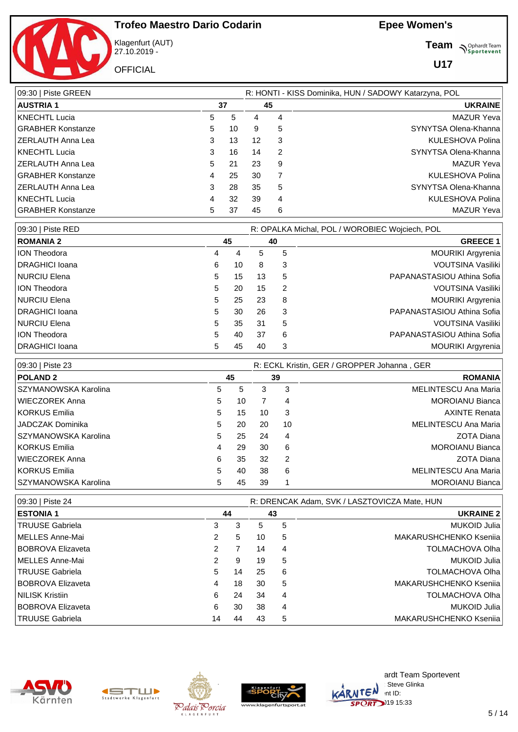

Klagenfurt (AUT) 27.10.2019 -

**OFFICIAL** 

**Team** *S<sup>Ophardt Team*<br>*S*<sup>P</sup> *Sportevent*</sup>

| 09:30   Piste GREEN      |   |    |    |    | R: HONTI - KISS Dominika, HUN / SADOWY Katarzyna, POL |
|--------------------------|---|----|----|----|-------------------------------------------------------|
| <b>AUSTRIA 1</b>         |   | 37 |    | 45 | <b>UKRAINE</b>                                        |
| <b>KNECHTL Lucia</b>     | 5 | 5  | 4  | 4  | <b>MAZUR Yeva</b>                                     |
| <b>GRABHER Konstanze</b> | 5 | 10 | 9  | 5  | SYNYTSA Olena-Khanna                                  |
| ZERLAUTH Anna Lea        | 3 | 13 | 12 | 3  | KULESHOVA Polina                                      |
| <b>KNECHTL Lucia</b>     | 3 | 16 | 14 | 2  | SYNYTSA Olena-Khanna                                  |
| ZERLAUTH Anna Lea        | 5 | 21 | 23 | 9  | <b>MAZUR Yeva</b>                                     |
| <b>GRABHER Konstanze</b> | 4 | 25 | 30 | 7  | KULESHOVA Polina                                      |
| ZERLAUTH Anna Lea        | 3 | 28 | 35 | 5  | SYNYTSA Olena-Khanna                                  |
| KNECHTL Lucia            | 4 | 32 | 39 | 4  | KULESHOVA Polina                                      |
| <b>GRABHER Konstanze</b> | 5 | 37 | 45 | 6  | <b>MAZUR Yeva</b>                                     |

| 09:30   Piste RED      |    |    |    |    | R: OPALKA Michal, POL / WOROBIEC Wojciech, POL |
|------------------------|----|----|----|----|------------------------------------------------|
| <b>ROMANIA 2</b>       |    | 45 |    | 40 | <b>GREECE 1</b>                                |
| <b>ION Theodora</b>    | 4  | 4  | 5  | 5  | <b>MOURIKI Argyrenia</b>                       |
| <b>DRAGHICI Ioana</b>  | 6  | 10 | 8  | 3  | VOUTSINA Vasiliki                              |
| <b>INURCIU Elena</b>   | 5. | 15 | 13 | 5  | PAPANASTASIOU Athina Sofia                     |
| <b>ION Theodora</b>    | 5. | 20 | 15 | 2  | VOUTSINA Vasiliki                              |
| <b>INURCIU Elena</b>   | 5. | 25 | 23 | 8  | <b>MOURIKI Argyrenia</b>                       |
| <b>DRAGHICI Ioana</b>  | 5. | 30 | 26 | 3  | PAPANASTASIOU Athina Sofia                     |
| NURCIU Elena           | 5. | 35 | 31 | 5  | VOUTSINA Vasiliki                              |
| <b>ION Theodora</b>    | 5. | 40 | 37 | 6  | PAPANASTASIOU Athina Sofia                     |
| <b>IDRAGHICI Ioana</b> | 5  | 45 | 40 | 3  | <b>MOURIKI Argyrenia</b>                       |

| 09:30   Piste 23       |    |    | R: ECKL Kristin, GER / GROPPER Johanna, GER |    |                        |  |  |  |  |  |
|------------------------|----|----|---------------------------------------------|----|------------------------|--|--|--|--|--|
| <b>POLAND 2</b>        |    | 45 |                                             | 39 | <b>ROMANIA</b>         |  |  |  |  |  |
| SZYMANOWSKA Karolina   | 5  | 5  | 3                                           | 3  | MELINTESCU Ana Maria   |  |  |  |  |  |
| WIECZOREK Anna         | 5. | 10 |                                             | 4  | <b>MOROIANU Bianca</b> |  |  |  |  |  |
| KORKUS Emilia          | 5  | 15 | 10                                          | 3  | <b>AXINTE Renata</b>   |  |  |  |  |  |
| JADCZAK Dominika       | 5  | 20 | 20                                          | 10 | MELINTESCU Ana Maria   |  |  |  |  |  |
| SZYMANOWSKA Karolina   | 5  | 25 | 24                                          | 4  | <b>ZOTA Diana</b>      |  |  |  |  |  |
| KORKUS Emilia          | 4  | 29 | 30                                          | 6  | <b>MOROIANU Bianca</b> |  |  |  |  |  |
| WIECZOREK Anna         | 6  | 35 | 32                                          | 2  | ZOTA Diana             |  |  |  |  |  |
| KORKUS Emilia          | 5  | 40 | 38                                          | 6  | MELINTESCU Ana Maria   |  |  |  |  |  |
| l SZYMANOWSKA Karolina | 5  | 45 | 39                                          |    | <b>MOROIANU Bianca</b> |  |  |  |  |  |

| 09:30   Piste 24         | R: DRENCAK Adam, SVK / LASZTOVICZA Mate, HUN |    |    |    |                        |  |  |  |
|--------------------------|----------------------------------------------|----|----|----|------------------------|--|--|--|
| <b>ESTONIA 1</b>         | 44                                           |    |    | 43 | <b>UKRAINE 2</b>       |  |  |  |
| TRUUSE Gabriela          | 3                                            | 3  | 5  | 5  | MUKOID Julia           |  |  |  |
| MELLES Anne-Mai          | 2                                            | 5  | 10 | 5  | MAKARUSHCHENKO Ksenija |  |  |  |
| <b>BOBROVA Elizaveta</b> |                                              |    | 14 | 4  | <b>TOLMACHOVA Olha</b> |  |  |  |
| MELLES Anne-Mai          | 2                                            | 9  | 19 | 5  | MUKOID Julia           |  |  |  |
| TRUUSE Gabriela          | 5                                            | 14 | 25 | 6  | <b>TOLMACHOVA Olha</b> |  |  |  |
| <b>BOBROVA Elizaveta</b> | 4                                            | 18 | 30 | 5  | MAKARUSHCHENKO Ksenija |  |  |  |
| <b>NILISK Kristiin</b>   | 6                                            | 24 | 34 | 4  | <b>TOLMACHOVA Olha</b> |  |  |  |
| <b>BOBROVA Elizaveta</b> | 6                                            | 30 | 38 | 4  | MUKOID Julia           |  |  |  |
| TRUUSE Gabriela          | 14                                           | 44 | 43 | 5  | MAKARUSHCHENKO Ksenija |  |  |  |









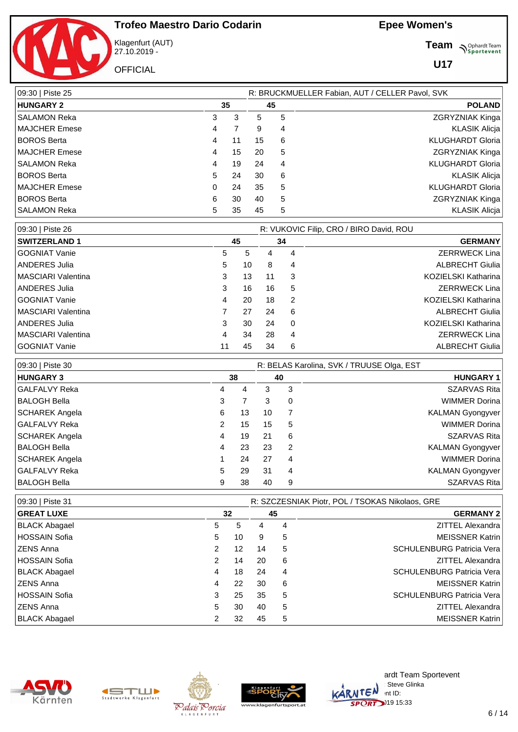

Klagenfurt (AUT) 27.10.2019 -

**OFFICIAL** 

**Team** *S<sup>Ophardt Team*<br>*S*<sup>P</sup> *Sportevent*</sup>

| 09:30   Piste 25      |   |    |    |    | R: BRUCKMUELLER Fabian, AUT / CELLER Pavol, SVK |
|-----------------------|---|----|----|----|-------------------------------------------------|
| <b>HUNGARY 2</b>      |   | 35 |    | 45 | <b>POLAND</b>                                   |
| <b>SALAMON Reka</b>   | 3 | 3  | 5  | 5  | <b>ZGRYZNIAK Kinga</b>                          |
| MAJCHER Emese         | 4 |    | 9  | 4  | <b>KLASIK Alicja</b>                            |
| <b>BOROS Berta</b>    | 4 | 11 | 15 | 6  | <b>KLUGHARDT Gloria</b>                         |
| <b>IMAJCHER Emese</b> | 4 | 15 | 20 | 5  | <b>ZGRYZNIAK Kinga</b>                          |
| <b>SALAMON Reka</b>   | 4 | 19 | 24 | 4  | <b>KLUGHARDT Gloria</b>                         |
| <b>BOROS Berta</b>    | 5 | 24 | 30 | 6  | <b>KLASIK Alicja</b>                            |
| <b>IMAJCHER Emese</b> | 0 | 24 | 35 | 5  | <b>KLUGHARDT Gloria</b>                         |
| <b>BOROS Berta</b>    | 6 | 30 | 40 | 5  | <b>ZGRYZNIAK Kinga</b>                          |
| SALAMON Reka          | 5 | 35 | 45 | 5  | <b>KLASIK Alicia</b>                            |

| 09:30   Piste 26     |    |    | R: VUKOVIC Filip, CRO / BIRO David, ROU |   |                        |  |  |  |  |
|----------------------|----|----|-----------------------------------------|---|------------------------|--|--|--|--|
| <b>SWITZERLAND 1</b> |    | 45 | 34                                      |   | <b>GERMANY</b>         |  |  |  |  |
| l GOGNIAT Vanie      | 5  | 5  | 4                                       | 4 | <b>ZERRWECK Lina</b>   |  |  |  |  |
| ANDERES Julia        | 5  | 10 | 8                                       | 4 | <b>ALBRECHT Giulia</b> |  |  |  |  |
| MASCIARI Valentina   | 3  | 13 | 11                                      | 3 | KOZIELSKI Katharina    |  |  |  |  |
| ANDERES Julia        | 3  | 16 | 16                                      | 5 | <b>ZERRWECK Lina</b>   |  |  |  |  |
| l GOGNIAT Vanie      | 4  | 20 | 18                                      | 2 | KOZIELSKI Katharina    |  |  |  |  |
| MASCIARI Valentina   |    | 27 | 24                                      | 6 | <b>ALBRECHT Giulia</b> |  |  |  |  |
| ANDERES Julia        | 3  | 30 | 24                                      | 0 | KOZIELSKI Katharina    |  |  |  |  |
| MASCIARI Valentina   | 4  | 34 | 28                                      | 4 | <b>ZERRWECK Lina</b>   |  |  |  |  |
| l GOGNIAT Vanie      | 11 | 45 | 34                                      | 6 | <b>ALBRECHT Giulia</b> |  |  |  |  |

| 09:30   Piste 30      |   |    | R: BELAS Karolina, SVK / TRUUSE Olga, EST |    |                         |  |  |  |  |  |
|-----------------------|---|----|-------------------------------------------|----|-------------------------|--|--|--|--|--|
| <b>HUNGARY 3</b>      |   | 38 |                                           | 40 | <b>HUNGARY 1</b>        |  |  |  |  |  |
| GALFALVY Reka         | 4 | 4  | 3                                         | 3  | <b>SZARVAS Rita</b>     |  |  |  |  |  |
| BALOGH Bella          | 3 |    | 3                                         | 0  | <b>WIMMER Dorina</b>    |  |  |  |  |  |
| SCHAREK Angela        | 6 | 13 | 10                                        | 7  | <b>KALMAN Gyongyver</b> |  |  |  |  |  |
| GALFALVY Reka         | 2 | 15 | 15                                        | 5  | <b>WIMMER Dorina</b>    |  |  |  |  |  |
| SCHAREK Angela        | 4 | 19 | 21                                        | 6  | <b>SZARVAS Rita</b>     |  |  |  |  |  |
| BALOGH Bella          | 4 | 23 | 23                                        | 2  | <b>KALMAN Gyongyver</b> |  |  |  |  |  |
| <b>SCHAREK Angela</b> |   | 24 | 27                                        | 4  | <b>WIMMER Dorina</b>    |  |  |  |  |  |
| GALFALVY Reka         | 5 | 29 | 31                                        | 4  | <b>KALMAN Gyongyver</b> |  |  |  |  |  |
| BALOGH Bella          | 9 | 38 | 40                                        | 9  | <b>SZARVAS Rita</b>     |  |  |  |  |  |

| 09:30   Piste 31     |    |    | R: SZCZESNIAK Piotr, POL / TSOKAS Nikolaos, GRE |    |                                   |  |  |  |  |
|----------------------|----|----|-------------------------------------------------|----|-----------------------------------|--|--|--|--|
| <b>GREAT LUXE</b>    |    | 32 |                                                 | 45 | <b>GERMANY 21</b>                 |  |  |  |  |
| <b>BLACK Abagael</b> | 5. | 5  | 4                                               | 4  | ZITTEL Alexandra                  |  |  |  |  |
| HOSSAIN Sofia        | 5. | 10 | 9                                               | 5  | <b>MEISSNER Katrin</b>            |  |  |  |  |
| IZENS Anna           |    | 12 | 14                                              | 5  | <b>SCHULENBURG Patricia Veral</b> |  |  |  |  |
| <b>HOSSAIN Sofia</b> | 2  | 14 | 20                                              | 6  | ZITTEL Alexandra                  |  |  |  |  |
| <b>BLACK Abagael</b> | 4  | 18 | 24                                              | 4  | SCHULENBURG Patricia Vera         |  |  |  |  |
| ZENS Anna            | 4  | 22 | 30                                              | 6  | <b>MEISSNER Katrin</b>            |  |  |  |  |
| HOSSAIN Sofia        | 3  | 25 | 35                                              | 5  | <b>SCHULENBURG Patricia Veral</b> |  |  |  |  |
| ZENS Anna            | 5. | 30 | 40                                              | 5  | ZITTEL Alexandra                  |  |  |  |  |
| <b>BLACK Abagael</b> |    | 32 | 45                                              | 5  | <b>MEISSNER Katrin</b>            |  |  |  |  |









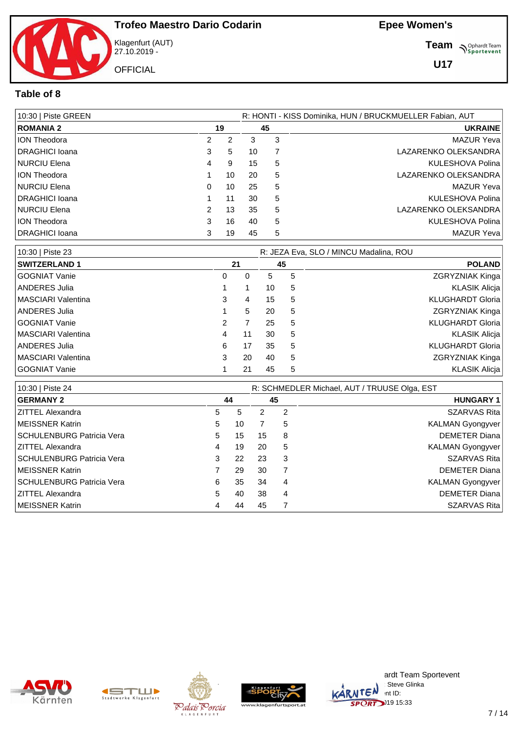

Klagenfurt (AUT) 27.10.2019 - **OFFICIAL** 

**Team** *S<sup>Ophardt Team*<br>*S*<sup>P</sup> *Sportevent*</sup>

**U17**

### **Table of 8**

| 10:30   Piste GREEN   |               |    | R: HONTI - KISS Dominika, HUN / BRUCKMUELLER Fabian, AUT |   |                         |  |  |  |
|-----------------------|---------------|----|----------------------------------------------------------|---|-------------------------|--|--|--|
| <b>ROMANIA 2</b>      | 19            |    | 45                                                       |   | <b>UKRAINE</b>          |  |  |  |
| <b>ION Theodora</b>   | $\mathcal{P}$ | 2  | 3                                                        | 3 | MAZUR Yeva              |  |  |  |
| DRAGHICI Ioana        | 3             | 5  | 10                                                       |   | LAZARENKO OLEKSANDRA    |  |  |  |
| NURCIU Elena          | 4             | 9  | 15                                                       | 5 | KULESHOVA Polina        |  |  |  |
| <b>ION Theodora</b>   |               | 10 | 20                                                       | 5 | LAZARENKO OLEKSANDRA    |  |  |  |
| NURCIU Elena          | 0             | 10 | 25                                                       | 5 | MAZUR Yeva              |  |  |  |
| DRAGHICI Ioana        |               | 11 | 30                                                       | 5 | <b>KULESHOVA Polina</b> |  |  |  |
| NURCIU Elena          | $\mathcal{P}$ | 13 | 35                                                       | 5 | LAZARENKO OLEKSANDRA    |  |  |  |
| <b>ION Theodora</b>   | 3             | 16 | 40                                                       | 5 | <b>KULESHOVA Polina</b> |  |  |  |
| <b>DRAGHICI Ioana</b> | 3             | 19 | 45                                                       | 5 | MAZUR Yeva              |  |  |  |

| 10:30   Piste 23           |                      |    | R: JEZA Eva, SLO / MINCU Madalina, ROU |   |                         |  |  |  |  |
|----------------------------|----------------------|----|----------------------------------------|---|-------------------------|--|--|--|--|
| <b>SWITZERLAND 1</b>       |                      | 21 | 45                                     |   | <b>POLAND</b>           |  |  |  |  |
| GOGNIAT Vanie              | 0                    | 0  | 5.                                     | 5 | ZGRYZNIAK Kinga         |  |  |  |  |
| ANDERES Julia              |                      |    | 10                                     | 5 | <b>KLASIK Alicja</b>    |  |  |  |  |
| <b>IMASCIARI Valentina</b> | 3                    | 4  | 15                                     | 5 | <b>KLUGHARDT Gloria</b> |  |  |  |  |
| ANDERES Julia              |                      | 5  | 20                                     | 5 | ZGRYZNIAK Kinga         |  |  |  |  |
| GOGNIAT Vanie              | $\mathbf{2}^{\circ}$ |    | 25                                     | 5 | <b>KLUGHARDT Gloria</b> |  |  |  |  |
| <b>IMASCIARI Valentina</b> | 4                    | 11 | 30                                     | 5 | <b>KLASIK Alicia</b>    |  |  |  |  |
| ANDERES Julia              | 6                    | 17 | 35                                     | 5 | <b>KLUGHARDT Gloria</b> |  |  |  |  |
| MASCIARI Valentina         | 3                    | 20 | 40                                     | 5 | ZGRYZNIAK Kinga         |  |  |  |  |
| GOGNIAT Vanie              |                      | 21 | 45                                     | 5 | KLASIK Alicja           |  |  |  |  |

| 10:30   Piste 24          |    |    |    | R: SCHMEDLER Michael, AUT / TRUUSE Olga, EST |                     |  |  |  |
|---------------------------|----|----|----|----------------------------------------------|---------------------|--|--|--|
| <b>GERMANY 2</b>          |    | 44 |    | 45                                           | <b>HUNGARY 1</b>    |  |  |  |
| <b>ZITTEL Alexandra</b>   | 5. | 5  | 2  | 2                                            | <b>SZARVAS Rita</b> |  |  |  |
| MEISSNER Katrin           | 5  | 10 |    | 5                                            | KALMAN Gyongyver    |  |  |  |
| SCHULENBURG Patricia Vera | 5. | 15 | 15 | 8                                            | DEMETER Diana       |  |  |  |
| <b>ZITTEL Alexandra</b>   | 4  | 19 | 20 | 5                                            | KALMAN Gyongyver    |  |  |  |
| SCHULENBURG Patricia Vera | 3  | 22 | 23 | 3                                            | SZARVAS Rita        |  |  |  |
| MEISSNER Katrin           |    | 29 | 30 |                                              | DEMETER Diana       |  |  |  |
| SCHULENBURG Patricia Vera | 6  | 35 | 34 | 4                                            | KALMAN Gyongyver    |  |  |  |
| <b>ZITTEL Alexandra</b>   | 5. | 40 | 38 | 4                                            | DEMETER Diana       |  |  |  |
| <b>IMEISSNER Katrin</b>   | 4  | 44 | 45 |                                              | SZARVAS Rita        |  |  |  |









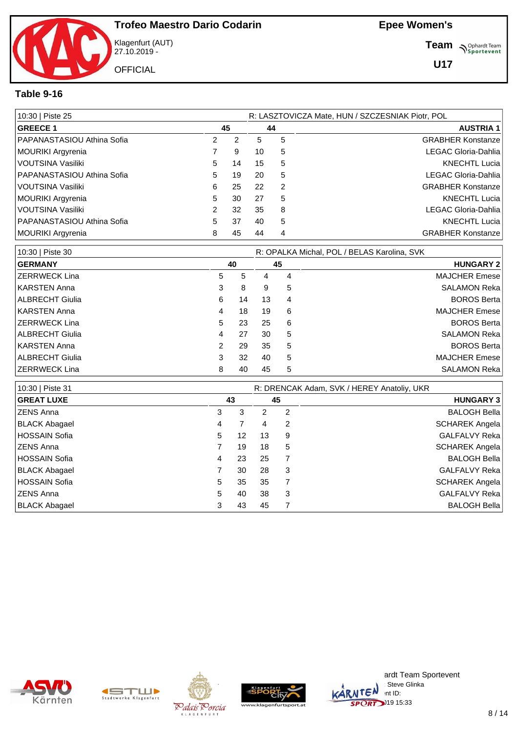Klagenfurt (AUT) 27.10.2019 - **OFFICIAL** 

**Team** *S<sup>Ophardt Team*<br>*S*<sup>P</sup> *Sportevent*</sup>

**U17**

### **Table 9-16**

| 10:30   Piste 25           |    |    | R: LASZTOVICZA Mate, HUN / SZCZESNIAK Piotr, POL |    |                          |  |  |  |  |
|----------------------------|----|----|--------------------------------------------------|----|--------------------------|--|--|--|--|
| <b>GREECE 1</b>            |    | 45 |                                                  | 44 | <b>AUSTRIA 1</b>         |  |  |  |  |
| PAPANASTASIOU Athina Sofia |    | 2  | 5                                                | 5  | <b>GRABHER Konstanze</b> |  |  |  |  |
| MOURIKI Argyrenia          |    | 9  | 10                                               | 5  | LEGAC Gloria-Dahlia      |  |  |  |  |
| VOUTSINA Vasiliki          | 5  | 14 | 15                                               | 5  | <b>KNECHTL Lucia</b>     |  |  |  |  |
| PAPANASTASIOU Athina Sofia | 5  | 19 | 20                                               | 5  | LEGAC Gloria-Dahlia      |  |  |  |  |
| l VOUTSINA Vasiliki        | 6  | 25 | 22                                               | 2  | <b>GRABHER Konstanze</b> |  |  |  |  |
| MOURIKI Argyrenia          | 5  | 30 | 27                                               | 5  | <b>KNECHTL Lucia</b>     |  |  |  |  |
| l VOUTSINA Vasiliki        |    | 32 | 35                                               | 8  | LEGAC Gloria-Dahlia      |  |  |  |  |
| PAPANASTASIOU Athina Sofia | 5. | 37 | 40                                               | 5  | <b>KNECHTL Lucia</b>     |  |  |  |  |
| MOURIKI Argyrenia          | 8  | 45 | 44                                               | 4  | <b>GRABHER Konstanze</b> |  |  |  |  |

| 10:30   Piste 30       |   |    |    |    | R: OPALKA Michal, POL / BELAS Karolina, SVK |
|------------------------|---|----|----|----|---------------------------------------------|
| <b>GERMANY</b>         |   | 40 |    | 45 | <b>HUNGARY 2</b>                            |
| ZERRWECK Lina          | 5 | 5  | 4  | 4  | <b>MAJCHER Emese</b>                        |
| KARSTEN Anna           | 3 | 8  | 9  | 5  | <b>SALAMON Reka</b>                         |
| ALBRECHT Giulia        | 6 | 14 | 13 | 4  | <b>BOROS Berta</b>                          |
| KARSTEN Anna           | 4 | 18 | 19 | 6  | <b>MAJCHER Emese</b>                        |
| IZERRWECK Lina         | 5 | 23 | 25 | 6  | <b>BOROS Berta</b>                          |
| <b>ALBRECHT Giulia</b> | 4 | 27 | 30 | 5  | <b>SALAMON Reka</b>                         |
| KARSTEN Anna           | 2 | 29 | 35 | 5  | <b>BOROS Berta</b>                          |
| ALBRECHT Giulia        | 3 | 32 | 40 | 5  | <b>MAJCHER Emese</b>                        |
| IZERRWECK Lina         | 8 | 40 | 45 | 5  | <b>SALAMON Reka</b>                         |

| 10:30   Piste 31     | R: DRENCAK Adam, SVK / HEREY Anatoliy, UKR |    |    |    |                      |  |  |  |
|----------------------|--------------------------------------------|----|----|----|----------------------|--|--|--|
| <b>GREAT LUXE</b>    |                                            | 43 |    | 45 | <b>HUNGARY 3</b>     |  |  |  |
| ZENS Anna            | 3                                          | 3  | 2  | 2  | <b>BALOGH Bella</b>  |  |  |  |
| BLACK Abagael        | 4                                          |    | 4  | 2  | SCHAREK Angela       |  |  |  |
| <b>HOSSAIN Sofia</b> | 5                                          | 12 | 13 | 9  | GALFALVY Reka        |  |  |  |
| ZENS Anna            |                                            | 19 | 18 | 5  | SCHAREK Angela       |  |  |  |
| HOSSAIN Sofia        | 4                                          | 23 | 25 |    | <b>BALOGH Bella</b>  |  |  |  |
| BLACK Abagael        |                                            | 30 | 28 | 3  | <b>GALFALVY Reka</b> |  |  |  |
| HOSSAIN Sofia        | 5                                          | 35 | 35 |    | SCHAREK Angela       |  |  |  |
| <b>IZENS Anna</b>    | 5                                          | 40 | 38 | 3  | <b>GALFALVY Reka</b> |  |  |  |
| <b>BLACK Abagael</b> | 3                                          | 43 | 45 |    | <b>BALOGH Bella</b>  |  |  |  |









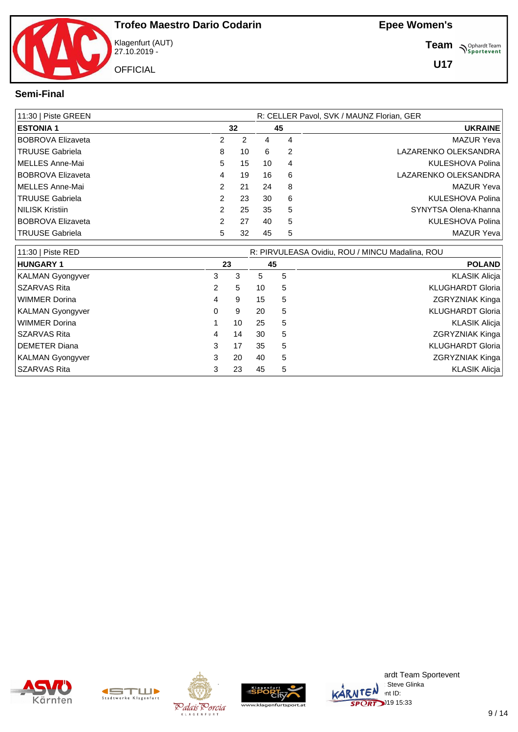

Klagenfurt (AUT) 27.10.2019 - **OFFICIAL** 

**Team N**Sportevent

**U17**

#### **Semi-Final**

| 11:30   Piste GREEN      |   |    |    | R: CELLER Pavol, SVK / MAUNZ Florian, GER |                                                 |  |  |  |  |  |
|--------------------------|---|----|----|-------------------------------------------|-------------------------------------------------|--|--|--|--|--|
| <b>ESTONIA 1</b>         |   | 32 |    | 45                                        | <b>UKRAINE</b>                                  |  |  |  |  |  |
| <b>BOBROVA Elizaveta</b> | 2 | 2  | 4  | 4                                         | <b>MAZUR Yeval</b>                              |  |  |  |  |  |
| <b>TRUUSE Gabriela</b>   | 8 | 10 | 6  | $\overline{2}$                            | LAZARENKO OLEKSANDRA                            |  |  |  |  |  |
| MELLES Anne-Mai          | 5 | 15 | 10 | 4                                         | <b>KULESHOVA Polina</b>                         |  |  |  |  |  |
| <b>BOBROVA Elizaveta</b> | 4 | 19 | 16 | 6                                         | LAZARENKO OLEKSANDRA                            |  |  |  |  |  |
| MELLES Anne-Mai          | 2 | 21 | 24 | 8                                         | MAZUR Yeva                                      |  |  |  |  |  |
| <b>TRUUSE Gabriela</b>   | 2 | 23 | 30 | 6                                         | KULESHOVA Polina                                |  |  |  |  |  |
| <b>NILISK Kristiin</b>   | 2 | 25 | 35 | 5                                         | SYNYTSA Olena-Khanna                            |  |  |  |  |  |
| <b>BOBROVA Elizaveta</b> | 2 | 27 | 40 | 5                                         | KULESHOVA Polina                                |  |  |  |  |  |
| <b>TRUUSE Gabriela</b>   | 5 | 32 | 45 | 5                                         | MAZUR Yeva                                      |  |  |  |  |  |
| 11:30   Piste RED        |   |    |    |                                           | R: PIRVULEASA Ovidiu, ROU / MINCU Madalina, ROU |  |  |  |  |  |
| <b>HUNGARY 1</b>         |   | 23 | 45 |                                           | <b>POLAND</b>                                   |  |  |  |  |  |
| <b>KALMAN Gyongyver</b>  | 3 | 3  | 5  | 5                                         | <b>KLASIK Alicja</b>                            |  |  |  |  |  |
| SZARVAS Rita             | 2 | 5  | 10 | 5                                         | <b>KLUGHARDT Gloria</b>                         |  |  |  |  |  |

WIMMER Dorina **AND READING THE SET ASSESSED ASSESSED** TO A 4 9 15 5 A 5 A 5 2GRYZNIAK Kinga KALMAN Gyongyver **120 Studies 10 Studies 10 Studies 10 Studies 10 Studies 10 Studies 10 Studies 10 Studies 10 Studies 10 Studies 10 Studies 10 Studies 10 Studies 10 Studies 10 Studies 10 Studies 10 Studies 10 Studies 10 St** WIMMER Dorina **1 10 25 5** KLASIK Alicja **1 10 25 5** KLASIK Alicja SZARVAS Rita **14 14 14 30 5** ZGRYZNIAK Kinga DEMETER Diana 3 17 35 5 KLUGHARDT Gloria KALMAN Gyongyver **3** 20 40 5 **ZGRYZNIAK Kinga** SZARVAS Rita 3 23 45 5 KLASIK Alicja











ardt Team Sportevent : Steve Glinka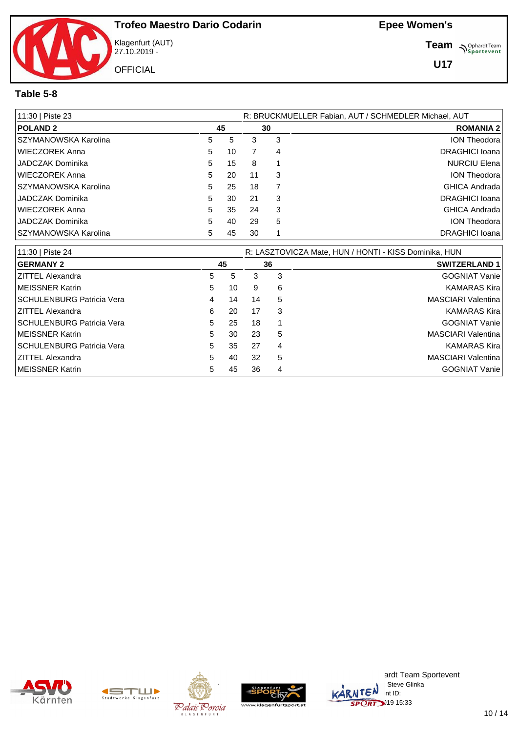

Klagenfurt (AUT) 27.10.2019 -

**Team** *S<sup>Ophardt Team*<br>*S*<sup>P</sup> *Sportevent*</sup>

#### **Table 5-8**

| 11:30   Piste 23      |    |    |    |    | R: BRUCKMUELLER Fabian, AUT / SCHMEDLER Michael, AUT |
|-----------------------|----|----|----|----|------------------------------------------------------|
| <b>POLAND 2</b>       |    | 45 |    | 30 | <b>ROMANIA 2</b>                                     |
| SZYMANOWSKA Karolina  | 5  | 5  | 3  | 3  | ION Theodora                                         |
| WIECZOREK Anna        | 5  | 10 |    | 4  | DRAGHICI Ioana                                       |
| I JADCZAK Dominika    | 5  | 15 | 8  |    | <b>NURCIU Elena</b>                                  |
| WIECZOREK Anna        | 5  | 20 | 11 | 3  | <b>ION Theodora</b>                                  |
| ISZYMANOWSKA Karolina | 5  | 25 | 18 |    | GHICA Andrada                                        |
| I JADCZAK Dominika    | 5  | 30 | 21 | 3  | DRAGHICI Ioana                                       |
| WIECZOREK Anna        | 5  | 35 | 24 | 3  | GHICA Andrada                                        |
| JADCZAK Dominika      | 5. | 40 | 29 | 5  | <b>ION Theodora</b>                                  |
| ISZYMANOWSKA Karolina | 5  | 45 | 30 |    | DRAGHICI Ioana                                       |

| 11:30   Piste 24                 |    |    |    |    | R: LASZTOVICZA Mate, HUN / HONTI - KISS Dominika, HUN |
|----------------------------------|----|----|----|----|-------------------------------------------------------|
| <b>GERMANY 2</b>                 |    | 45 |    | 36 | <b>SWITZERLAND 1</b>                                  |
| <b>ZITTEL Alexandra</b>          | 5  | 5  | 3  | 3  | <b>GOGNIAT Vanie</b>                                  |
| <b>IMEISSNER Katrin</b>          | 5  | 10 | 9  | 6  | <b>KAMARAS Kira</b>                                   |
| <b>SCHULENBURG Patricia Vera</b> | 4  | 14 | 14 | -5 | MASCIARI Valentina                                    |
| ZITTEL Alexandra                 | 6  | 20 | 17 | -3 | <b>KAMARAS Kira</b>                                   |
| <b>SCHULENBURG Patricia Vera</b> | 5  | 25 | 18 |    | <b>GOGNIAT Vanie</b>                                  |
| <b>IMEISSNER Katrin</b>          | 5  | 30 | 23 | 5  | MASCIARI Valentina                                    |
| <b>SCHULENBURG Patricia Vera</b> | 5  | 35 | 27 | 4  | <b>KAMARAS Kira</b>                                   |
| ZITTEL Alexandra                 | 5. | 40 | 32 | 5  | MASCIARI Valentina                                    |
| MEISSNER Katrin                  | 5. | 45 | 36 | 4  | <b>GOGNIAT Vanie</b>                                  |











ardt Team Sportevent : Steve Glinka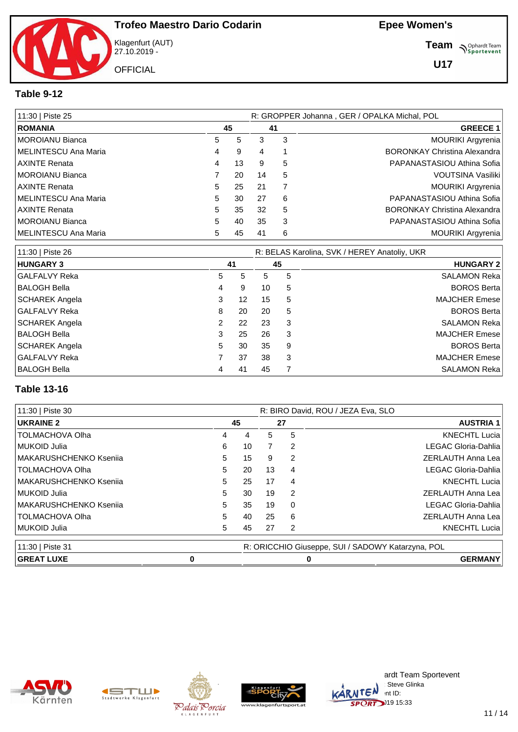Klagenfurt (AUT) 27.10.2019 - **OFFICIAL** 

**Team** *S<sup>Ophardt Team*<br> *S*<sup>P</sup> Sportevent</sup>

**U17**

### **Table 9-12**

| 11:30   Piste 25     |    |    | R: GROPPER Johanna, GER / OPALKA Michal, POL |   |                                     |  |  |  |  |
|----------------------|----|----|----------------------------------------------|---|-------------------------------------|--|--|--|--|
| <b>ROMANIA</b>       |    | 45 | 41                                           |   | <b>GREECE 1</b>                     |  |  |  |  |
| MOROIANU Bianca      | 5  | 5  | 3                                            | 3 | <b>MOURIKI Argyrenia</b>            |  |  |  |  |
| MELINTESCU Ana Maria | 4  | 9  | 4                                            |   | <b>BORONKAY Christina Alexandra</b> |  |  |  |  |
| <b>AXINTE Renata</b> | 4  | 13 | 9                                            | 5 | PAPANASTASIOU Athina Sofia          |  |  |  |  |
| MOROIANU Bianca      |    | 20 | 14                                           | 5 | VOUTSINA Vasiliki                   |  |  |  |  |
| AXINTE Renata        | 5. | 25 | 21                                           |   | <b>MOURIKI Argyrenia</b>            |  |  |  |  |
| MELINTESCU Ana Maria | 5. | 30 | 27                                           | 6 | PAPANASTASIOU Athina Sofia          |  |  |  |  |
| AXINTE Renata        | 5. | 35 | 32                                           | 5 | <b>BORONKAY Christina Alexandra</b> |  |  |  |  |
| MOROIANU Bianca      | 5  | 40 | 35                                           | 3 | PAPANASTASIOU Athina Sofia          |  |  |  |  |
| MELINTESCU Ana Maria | 5  | 45 | 41                                           | 6 | <b>MOURIKI Argyrenia</b>            |  |  |  |  |

| 11:30   Piste 26      |   |    | R: BELAS Karolina, SVK / HEREY Anatoliy, UKR |    |                      |  |  |  |  |
|-----------------------|---|----|----------------------------------------------|----|----------------------|--|--|--|--|
| <b>HUNGARY 3</b>      |   | 41 |                                              | 45 | <b>HUNGARY 2</b>     |  |  |  |  |
| <b>GALFALVY Reka</b>  | 5 | 5  | 5                                            | 5  | <b>SALAMON Reka</b>  |  |  |  |  |
| <b>BALOGH Bella</b>   | 4 | 9  | 10                                           | 5  | <b>BOROS Berta</b>   |  |  |  |  |
| <b>SCHAREK Angela</b> | 3 | 12 | 15                                           | 5  | <b>MAJCHER Emese</b> |  |  |  |  |
| <b>GALFALVY Reka</b>  | 8 | 20 | 20                                           | 5  | <b>BOROS Berta</b>   |  |  |  |  |
| <b>SCHAREK Angela</b> | 2 | 22 | 23                                           | 3  | <b>SALAMON Reka</b>  |  |  |  |  |
| BALOGH Bella          | 3 | 25 | 26                                           | 3  | <b>MAJCHER Emese</b> |  |  |  |  |
| <b>SCHAREK Angela</b> | 5 | 30 | 35                                           | 9  | <b>BOROS Berta</b>   |  |  |  |  |
| <b>GALFALVY Reka</b>  |   | 37 | 38                                           | 3  | <b>MAJCHER Emese</b> |  |  |  |  |
| BALOGH Bella          | 4 | 41 | 45                                           | 7  | <b>SALAMON Reka</b>  |  |  |  |  |

### **Table 13-16**

| 11:30   Piste 30       |   | R: BIRO David, ROU / JEZA Eva, SLO |    |    |                |                                                   |  |  |
|------------------------|---|------------------------------------|----|----|----------------|---------------------------------------------------|--|--|
| <b>UKRAINE 2</b>       |   |                                    | 45 | 27 |                | <b>AUSTRIA 1</b>                                  |  |  |
| <b>TOLMACHOVA Olha</b> |   | 4                                  | 4  | 5. | 5              | <b>KNECHTL Lucia</b>                              |  |  |
| MUKOID Julia           |   | 6                                  | 10 |    | $\overline{2}$ | LEGAC Gloria-Dahlia                               |  |  |
| MAKARUSHCHENKO Ksenija |   | 5                                  | 15 | 9  | 2              | <b>ZERLAUTH Anna Lea</b>                          |  |  |
| <b>TOLMACHOVA Olha</b> |   | 5                                  | 20 | 13 | 4              | LEGAC Gloria-Dahlia                               |  |  |
| MAKARUSHCHENKO Ksenija |   | 5                                  | 25 | 17 | 4              | <b>KNECHTL Lucia</b>                              |  |  |
| MUKOID Julia           |   | 5                                  | 30 | 19 | $\overline{2}$ | <b>ZERLAUTH Anna Lea</b>                          |  |  |
| MAKARUSHCHENKO Ksenija |   | 5                                  | 35 | 19 | $\Omega$       | LEGAC Gloria-Dahlia                               |  |  |
| <b>TOLMACHOVA Olha</b> |   | 5                                  | 40 | 25 | 6              | ZERLAUTH Anna Lea                                 |  |  |
| MUKOID Julia           |   | 5                                  | 45 | 27 | 2              | <b>KNECHTL Lucia</b>                              |  |  |
| 11:30   Piste 31       |   |                                    |    |    |                | R: ORICCHIO Giuseppe, SUI / SADOWY Katarzyna, POL |  |  |
| <b>GREAT LUXE</b>      | 0 |                                    |    |    | 0              | <b>GERMANY</b>                                    |  |  |









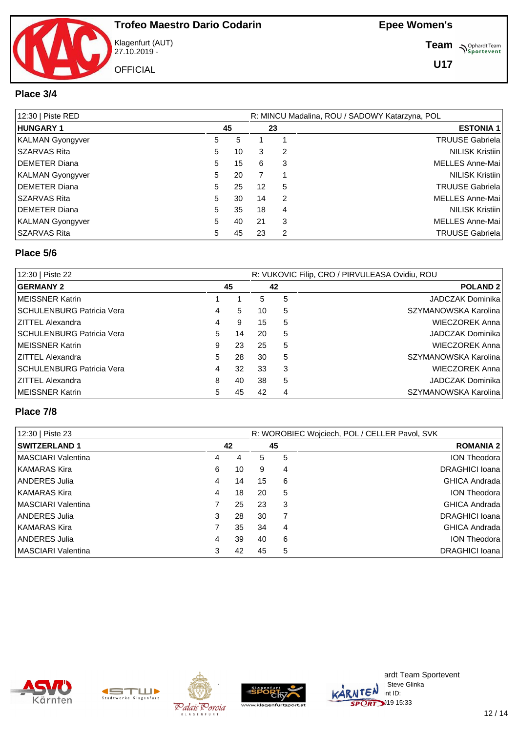

Klagenfurt (AUT) 27.10.2019 - **OFFICIAL** 

**Team S**<sup>Ophardt Team</sub></sup>

**U17**

#### **Place 3/4**

| 12:30   Piste RED     |    |    | R: MINCU Madalina, ROU / SADOWY Katarzyna, POL |    |                        |  |  |  |  |
|-----------------------|----|----|------------------------------------------------|----|------------------------|--|--|--|--|
| <b>HUNGARY 1</b>      |    | 45 |                                                | 23 | <b>ESTONIA 1</b>       |  |  |  |  |
| KALMAN Gyongyver      | 5. | 5  |                                                |    | <b>TRUUSE Gabriela</b> |  |  |  |  |
| SZARVAS Rita          | 5. | 10 | 3                                              | 2  | <b>NILISK Kristiin</b> |  |  |  |  |
| <b>IDEMETER Diana</b> | 5. | 15 | 6                                              | 3  | MELLES Anne-Mai        |  |  |  |  |
| KALMAN Gyongyver      | 5  | 20 |                                                |    | <b>NILISK Kristiin</b> |  |  |  |  |
| <b>IDEMETER Diana</b> | 5  | 25 | 12                                             | 5  | <b>TRUUSE Gabriela</b> |  |  |  |  |
| SSZARVAS Rita         | 5. | 30 | 14                                             | 2  | <b>MELLES Anne-Mai</b> |  |  |  |  |
| DEMETER Diana         | 5  | 35 | 18                                             | 4  | <b>NILISK Kristiin</b> |  |  |  |  |
| KALMAN Gyongyver      | 5. | 40 | 21                                             | 3  | <b>MELLES Anne-Mai</b> |  |  |  |  |
| <b>SZARVAS Rita</b>   | 5  | 45 | 23                                             | 2  | <b>TRUUSE Gabriela</b> |  |  |  |  |

#### **Place 5/6**

| 12:30   Piste 22                 |    |    |    | R: VUKOVIC Filip, CRO / PIRVULEASA Ovidiu, ROU |                         |  |  |  |  |  |  |
|----------------------------------|----|----|----|------------------------------------------------|-------------------------|--|--|--|--|--|--|
| <b>GERMANY 2</b>                 | 45 |    | 42 | <b>POLAND 2</b>                                |                         |  |  |  |  |  |  |
| <b>IMEISSNER Katrin</b>          |    |    | 5. | 5                                              | <b>JADCZAK Dominika</b> |  |  |  |  |  |  |
| <b>SCHULENBURG Patricia Vera</b> | 4  | 5  | 10 | 5                                              | SZYMANOWSKA Karolina    |  |  |  |  |  |  |
| <b>ZITTEL Alexandra</b>          | 4  | 9  | 15 | 5                                              | <b>WIECZOREK Anna</b>   |  |  |  |  |  |  |
| SCHULENBURG Patricia Vera        |    | 14 | 20 | 5                                              | JADCZAK Dominika        |  |  |  |  |  |  |
| <b>IMEISSNER Katrin</b>          | 9  | 23 | 25 | 5                                              | <b>WIECZOREK Anna</b>   |  |  |  |  |  |  |
| ZITTEL Alexandra                 | 5  | 28 | 30 | 5                                              | SZYMANOWSKA Karolina    |  |  |  |  |  |  |
| SCHULENBURG Patricia Vera        | 4  | 32 | 33 | 3                                              | <b>WIECZOREK Anna</b>   |  |  |  |  |  |  |
| <b>IZITTEL Alexandra</b>         | 8  | 40 | 38 | 5                                              | <b>JADCZAK Dominika</b> |  |  |  |  |  |  |
| <b>IMEISSNER Katrin</b>          | 5  | 45 | 42 | 4                                              | SZYMANOWSKA Karolina    |  |  |  |  |  |  |

#### **Place 7/8**

| 12:30   Piste 23           |    |    | R: WOROBIEC Wojciech, POL / CELLER Pavol, SVK |                  |                      |  |  |  |  |  |  |
|----------------------------|----|----|-----------------------------------------------|------------------|----------------------|--|--|--|--|--|--|
| <b>SWITZERLAND 1</b>       | 42 |    | 45                                            | <b>ROMANIA 2</b> |                      |  |  |  |  |  |  |
| <b>IMASCIARI Valentina</b> | 4  | 4  | 5.                                            | 5                | <b>ION Theodora</b>  |  |  |  |  |  |  |
| KAMARAS Kira               | 6  | 10 | 9                                             | 4                | DRAGHICI Ioana       |  |  |  |  |  |  |
| ANDERES Julia              | 4  | 14 | 15                                            | 6                | <b>GHICA Andrada</b> |  |  |  |  |  |  |
| KAMARAS Kira               | 4  | 18 | 20                                            | 5                | <b>ION Theodora</b>  |  |  |  |  |  |  |
| <b>IMASCIARI Valentina</b> |    | 25 | 23                                            | 3                | <b>GHICA Andrada</b> |  |  |  |  |  |  |
| ANDERES Julia              | 3  | 28 | 30                                            |                  | DRAGHICI Ioana       |  |  |  |  |  |  |
| KAMARAS Kira               |    | 35 | 34                                            | 4                | <b>GHICA Andrada</b> |  |  |  |  |  |  |
| ANDERES Julia              | 4  | 39 | 40                                            | 6                | <b>ION Theodora</b>  |  |  |  |  |  |  |
| <b>IMASCIARI Valentina</b> | 3  | 42 | 45                                            | 5                | DRAGHICI Ioana       |  |  |  |  |  |  |









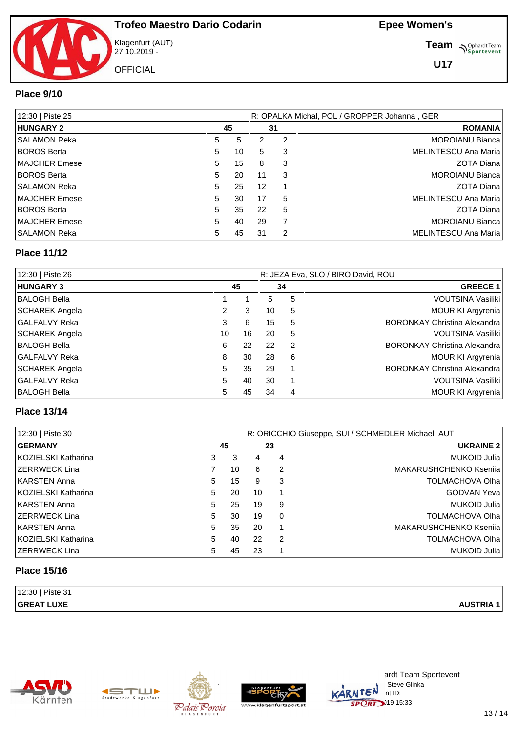Klagenfurt (AUT) 27.10.2019 - **OFFICIAL** 

**Team** *S<sup>Ophardt Team*<br> *S*<sup>P</sup> Sportevent</sup>

**U17**

### **Place 9/10**

| 12:30   Piste 25      |    |    |    | R: OPALKA Michal, POL / GROPPER Johanna, GER |                        |  |  |  |  |
|-----------------------|----|----|----|----------------------------------------------|------------------------|--|--|--|--|
| <b>HUNGARY 2</b>      |    | 45 |    | 31                                           | <b>ROMANIA</b>         |  |  |  |  |
| <b>SALAMON Reka</b>   | 5  | 5  |    | 2                                            | <b>MOROIANU Bianca</b> |  |  |  |  |
| <b>BOROS Berta</b>    | 5. | 10 | 5. | 3                                            | MELINTESCU Ana Maria   |  |  |  |  |
| <b>IMAJCHER Emese</b> | 5  | 15 | 8  | 3                                            | <b>ZOTA Diana</b>      |  |  |  |  |
| <b>BOROS Berta</b>    | 5  | 20 | 11 | 3                                            | <b>MOROIANU Bianca</b> |  |  |  |  |
| SALAMON Reka          | 5. | 25 | 12 |                                              | ZOTA Diana             |  |  |  |  |
| <b>IMAJCHER Emese</b> | 5. | 30 | 17 | 5                                            | MELINTESCU Ana Maria   |  |  |  |  |
| <b>BOROS Berta</b>    | 5  | 35 | 22 | 5                                            | ZOTA Diana             |  |  |  |  |
| <b>IMAJCHER Emese</b> | 5. | 40 | 29 |                                              | <b>MOROIANU Bianca</b> |  |  |  |  |
| SALAMON Reka          | 5. | 45 | 31 | 2                                            | MELINTESCU Ana Maria   |  |  |  |  |

### **Place 11/12**

| 12:30   Piste 26      |    | R: JEZA Eva, SLO / BIRO David, ROU |    |                |                                     |  |  |  |  |
|-----------------------|----|------------------------------------|----|----------------|-------------------------------------|--|--|--|--|
| <b>HUNGARY 3</b>      |    | 45                                 |    |                | <b>GREECE 1</b>                     |  |  |  |  |
| BALOGH Bella          |    |                                    | 5  | 5              | <b>VOUTSINA Vasiliki</b>            |  |  |  |  |
| <b>SCHAREK Angela</b> | 2  | 3                                  | 10 | 5              | <b>MOURIKI Argyrenia</b>            |  |  |  |  |
| GALFALVY Reka         | 3  | 6                                  | 15 | 5              | <b>BORONKAY Christina Alexandra</b> |  |  |  |  |
| SCHAREK Angela        | 10 | 16                                 | 20 | 5              | VOUTSINA Vasiliki                   |  |  |  |  |
| BALOGH Bella          | 6  | 22                                 | 22 | $\overline{2}$ | <b>BORONKAY Christina Alexandra</b> |  |  |  |  |
| GALFALVY Reka         | 8  | 30                                 | 28 | 6              | MOURIKI Argyrenia                   |  |  |  |  |
| SCHAREK Angela        | 5  | 35                                 | 29 |                | <b>BORONKAY Christina Alexandra</b> |  |  |  |  |
| GALFALVY Reka         | 5  | 40                                 | 30 | 1              | VOUTSINA Vasiliki                   |  |  |  |  |
| BALOGH Bella          | 5  | 45                                 | 34 | 4              | <b>MOURIKI Argyrenia</b>            |  |  |  |  |

#### **Place 13/14**

| 12:30   Piste 30      |   |    | R: ORICCHIO Giuseppe, SUI / SCHMEDLER Michael, AUT |          |                        |  |  |  |  |  |
|-----------------------|---|----|----------------------------------------------------|----------|------------------------|--|--|--|--|--|
| <b>GERMANY</b>        |   | 45 |                                                    | 23       | <b>UKRAINE 2</b>       |  |  |  |  |  |
| KOZIELSKI Katharina   | 3 | 3  | 4                                                  | 4        | MUKOID Julia           |  |  |  |  |  |
| IZERRWECK Lina        |   | 10 | 6                                                  | 2        | MAKARUSHCHENKO Kseniia |  |  |  |  |  |
| KARSTEN Anna          | 5 | 15 | 9                                                  | -3       | <b>TOLMACHOVA Olha</b> |  |  |  |  |  |
| KOZIELSKI Katharina   | 5 | 20 | 10                                                 |          | <b>GODVAN Yeva</b>     |  |  |  |  |  |
| KARSTEN Anna          | 5 | 25 | 19                                                 | 9        | MUKOID Julia           |  |  |  |  |  |
| IZERRWECK Lina        | 5 | 30 | 19                                                 | $\Omega$ | <b>TOLMACHOVA Olha</b> |  |  |  |  |  |
| KARSTEN Anna          | 5 | 35 | 20                                                 |          | MAKARUSHCHENKO Ksenija |  |  |  |  |  |
| KOZIELSKI Katharina   | 5 | 40 | 22                                                 | 2        | <b>TOLMACHOVA Olha</b> |  |  |  |  |  |
| <b>IZERRWECK Lina</b> | 5 | 45 | 23                                                 |          | MUKOID Julia           |  |  |  |  |  |

## **Place 15/16**

| 12:30 <br>Piste 31 |  |
|--------------------|--|
| <b>GREAT LUXE</b>  |  |









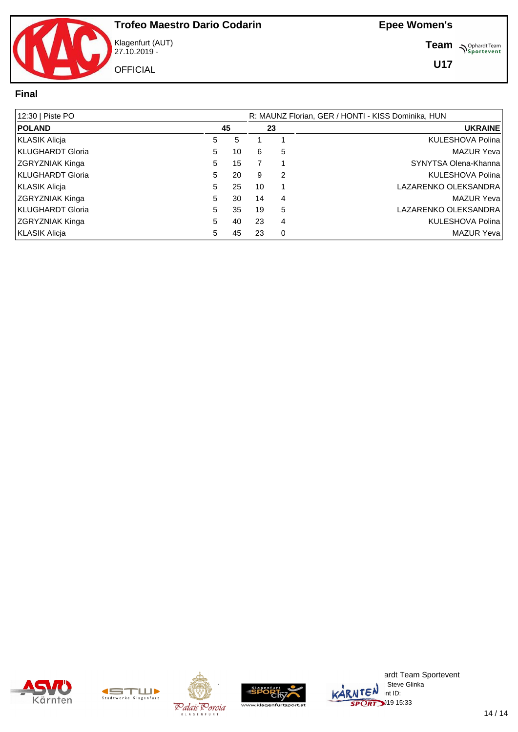

Klagenfurt (AUT) 27.10.2019 - **OFFICIAL** 

**Team** *S<sup>Ophardt Team*<br>*S*<sup>P</sup> *Sportevent*</sup>

**U17**

#### **Final**

| 12:30   Piste PO       |   |    |    |   | R: MAUNZ Florian, GER / HONTI - KISS Dominika, HUN |
|------------------------|---|----|----|---|----------------------------------------------------|
| <b>POLAND</b>          |   | 45 |    |   | <b>UKRAINE</b>                                     |
| KLASIK Alicja          | 5 |    |    |   | KULESHOVA Polina                                   |
| KLUGHARDT Gloria       | 5 | 10 | 6  | 5 | MAZUR Yeval                                        |
| <b>ZGRYZNIAK Kinga</b> | 5 | 15 |    |   | SYNYTSA Olena-Khanna                               |
| KLUGHARDT Gloria       | 5 | 20 | 9  | 2 | KULESHOVA Polina                                   |
| KLASIK Alicja          | 5 | 25 | 10 |   | LAZARENKO OLEKSANDRA                               |
| <b>ZGRYZNIAK Kinga</b> | 5 | 30 | 14 | 4 | <b>MAZUR Yeva</b>                                  |
| KLUGHARDT Gloria       | 5 | 35 | 19 | 5 | LAZARENKO OLEKSANDRA                               |
| <b>ZGRYZNIAK Kinga</b> | 5 | 40 | 23 | 4 | KULESHOVA Polina                                   |
| KLASIK Alicja          | 5 | 45 | 23 | 0 | MAZUR Yeva                                         |









ardt Team Sportevent : Steve Glinka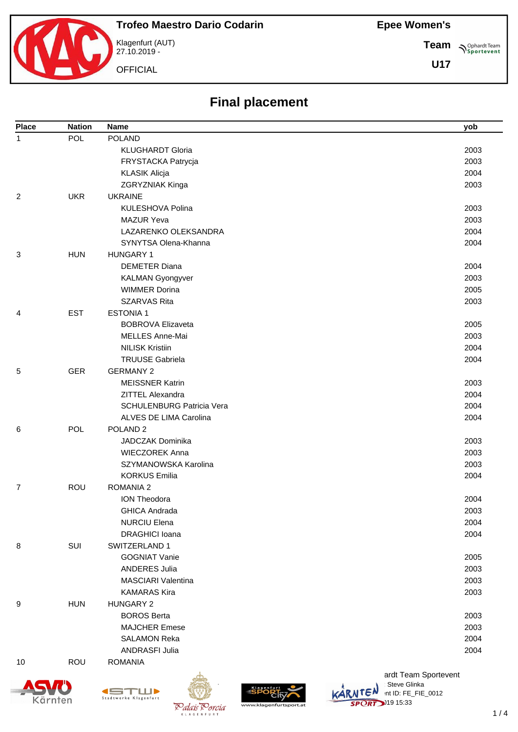### **Epee Women's**

**Team**

**U17**

**Sportevent** 



Klagenfurt (AUT) 27.10.2019 -

**OFFICIAL** 

# **Final placement**

| <b>Place</b> | <b>Nation</b> | Name                             | yob                  |
|--------------|---------------|----------------------------------|----------------------|
| $\mathbf{1}$ | POL           | <b>POLAND</b>                    |                      |
|              |               | <b>KLUGHARDT Gloria</b>          | 2003                 |
|              |               | FRYSTACKA Patrycja               | 2003                 |
|              |               | <b>KLASIK Alicja</b>             | 2004                 |
|              |               | ZGRYZNIAK Kinga                  | 2003                 |
| 2            | <b>UKR</b>    | <b>UKRAINE</b>                   |                      |
|              |               | <b>KULESHOVA Polina</b>          | 2003                 |
|              |               | <b>MAZUR Yeva</b>                | 2003                 |
|              |               | LAZARENKO OLEKSANDRA             | 2004                 |
|              |               | SYNYTSA Olena-Khanna             | 2004                 |
| 3            | <b>HUN</b>    | <b>HUNGARY 1</b>                 |                      |
|              |               | <b>DEMETER Diana</b>             | 2004                 |
|              |               | <b>KALMAN Gyongyver</b>          | 2003                 |
|              |               | <b>WIMMER Dorina</b>             | 2005                 |
|              |               | <b>SZARVAS Rita</b>              | 2003                 |
| 4            | <b>EST</b>    | <b>ESTONIA1</b>                  |                      |
|              |               | <b>BOBROVA Elizaveta</b>         | 2005                 |
|              |               | MELLES Anne-Mai                  | 2003                 |
|              |               | <b>NILISK Kristiin</b>           | 2004                 |
|              |               | <b>TRUUSE Gabriela</b>           | 2004                 |
| 5            | <b>GER</b>    | <b>GERMANY 2</b>                 |                      |
|              |               | <b>MEISSNER Katrin</b>           | 2003                 |
|              |               | ZITTEL Alexandra                 | 2004                 |
|              |               | <b>SCHULENBURG Patricia Vera</b> | 2004                 |
|              |               | ALVES DE LIMA Carolina           | 2004                 |
| 6            | <b>POL</b>    | POLAND <sub>2</sub>              |                      |
|              |               | <b>JADCZAK Dominika</b>          | 2003                 |
|              |               | <b>WIECZOREK Anna</b>            | 2003                 |
|              |               | SZYMANOWSKA Karolina             | 2003                 |
|              |               | <b>KORKUS Emilia</b>             | 2004                 |
| 7            | ROU           | <b>ROMANIA 2</b>                 |                      |
|              |               | <b>ION Theodora</b>              | 2004                 |
|              |               | <b>GHICA Andrada</b>             | 2003                 |
|              |               | <b>NURCIU Elena</b>              | 2004                 |
|              |               | <b>DRAGHICI Ioana</b>            | 2004                 |
| 8            | SUI           | SWITZERLAND 1                    |                      |
|              |               | <b>GOGNIAT Vanie</b>             | 2005                 |
|              |               | <b>ANDERES Julia</b>             | 2003                 |
|              |               | MASCIARI Valentina               | 2003                 |
|              |               | <b>KAMARAS Kira</b>              | 2003                 |
| 9            | <b>HUN</b>    | <b>HUNGARY 2</b>                 |                      |
|              |               | <b>BOROS Berta</b>               | 2003                 |
|              |               | <b>MAJCHER Emese</b>             | 2003                 |
|              |               | <b>SALAMON Reka</b>              | 2004                 |
|              |               | <b>ANDRASFI Julia</b>            | 2004                 |
| 10           | <b>ROU</b>    | <b>ROMANIA</b>                   |                      |
|              |               |                                  | ardt Team Sportevent |





K L A G E N F L



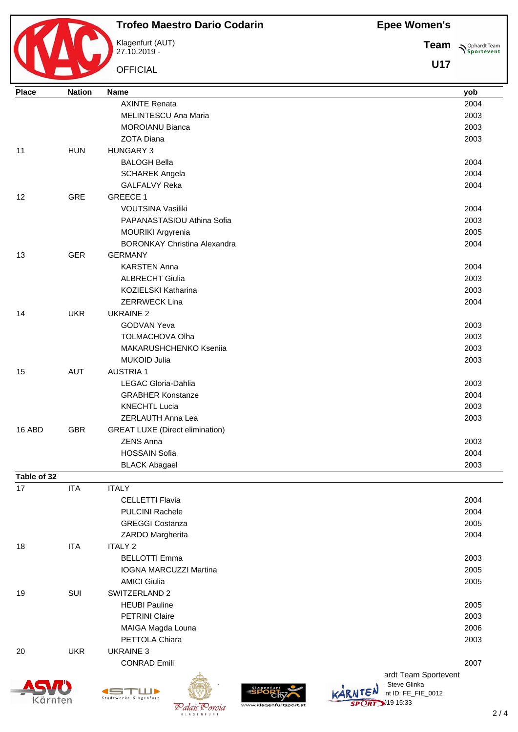**Epee Women's**



## **Trofeo Maestro Dario Codarin**

Klagenfurt (AUT) 27.10.2019 -

**OFFICIAL** 

**Team Sportevent** 

| <b>Place</b> | <b>Nation</b> | <b>Name</b>                                              | yob                                      |
|--------------|---------------|----------------------------------------------------------|------------------------------------------|
|              |               | <b>AXINTE Renata</b>                                     | 2004                                     |
|              |               | <b>MELINTESCU Ana Maria</b>                              | 2003                                     |
|              |               | <b>MOROIANU Bianca</b>                                   | 2003                                     |
|              |               | <b>ZOTA Diana</b>                                        | 2003                                     |
| 11           | <b>HUN</b>    | <b>HUNGARY 3</b>                                         |                                          |
|              |               | <b>BALOGH Bella</b>                                      | 2004                                     |
|              |               | <b>SCHAREK Angela</b>                                    | 2004                                     |
|              |               | <b>GALFALVY Reka</b>                                     | 2004                                     |
| 12           | <b>GRE</b>    | <b>GREECE 1</b>                                          |                                          |
|              |               | VOUTSINA Vasiliki                                        | 2004                                     |
|              |               | PAPANASTASIOU Athina Sofia                               | 2003                                     |
|              |               | MOURIKI Argyrenia                                        | 2005                                     |
|              |               | <b>BORONKAY Christina Alexandra</b>                      | 2004                                     |
| 13           | <b>GER</b>    | <b>GERMANY</b>                                           |                                          |
|              |               | <b>KARSTEN Anna</b>                                      | 2004                                     |
|              |               | <b>ALBRECHT Giulia</b>                                   | 2003                                     |
|              |               | KOZIELSKI Katharina                                      | 2003                                     |
|              |               | <b>ZERRWECK Lina</b>                                     | 2004                                     |
| 14           | <b>UKR</b>    | <b>UKRAINE 2</b>                                         |                                          |
|              |               | <b>GODVAN Yeva</b>                                       | 2003                                     |
|              |               | <b>TOLMACHOVA Olha</b>                                   | 2003                                     |
|              |               | MAKARUSHCHENKO Kseniia                                   | 2003                                     |
|              |               | <b>MUKOID Julia</b>                                      | 2003                                     |
| 15           | <b>AUT</b>    | <b>AUSTRIA1</b>                                          |                                          |
|              |               | LEGAC Gloria-Dahlia                                      | 2003                                     |
|              |               | <b>GRABHER Konstanze</b>                                 | 2004                                     |
|              |               | <b>KNECHTL Lucia</b>                                     | 2003                                     |
|              |               | ZERLAUTH Anna Lea                                        | 2003                                     |
| 16 ABD       | <b>GBR</b>    | <b>GREAT LUXE (Direct elimination)</b>                   |                                          |
|              |               | <b>ZENS Anna</b>                                         | 2003                                     |
|              |               | <b>HOSSAIN Sofia</b>                                     | 2004                                     |
| Table of 32  |               | <b>BLACK Abagael</b>                                     | 2003                                     |
| 17           | <b>ITA</b>    | <b>ITALY</b>                                             |                                          |
|              |               | <b>CELLETTI Flavia</b>                                   | 2004                                     |
|              |               | <b>PULCINI Rachele</b>                                   | 2004                                     |
|              |               | <b>GREGGI Costanza</b>                                   | 2005                                     |
|              |               | ZARDO Margherita                                         | 2004                                     |
| 18           | <b>ITA</b>    | <b>ITALY 2</b>                                           |                                          |
|              |               | <b>BELLOTTI Emma</b>                                     | 2003                                     |
|              |               | <b>IOGNA MARCUZZI Martina</b>                            | 2005                                     |
|              |               | <b>AMICI Giulia</b>                                      | 2005                                     |
| 19           | SUI           | SWITZERLAND 2                                            |                                          |
|              |               | <b>HEUBI Pauline</b>                                     | 2005                                     |
|              |               | <b>PETRINI Claire</b>                                    | 2003                                     |
|              |               | MAIGA Magda Louna                                        | 2006                                     |
|              |               | PETTOLA Chiara                                           | 2003                                     |
| 20           | <b>UKR</b>    | <b>UKRAINE 3</b>                                         |                                          |
|              |               | <b>CONRAD Emili</b>                                      | 2007                                     |
|              |               |                                                          | ardt Team Sportevent                     |
|              |               |                                                          | Steve Glinka                             |
| Kärnten      |               | ke Klagenfurt<br>www.klagenfurtsport.at<br>Dalais Devoia | int ID: FE_FIE_0012<br>$SPORT$ )19 15:33 |

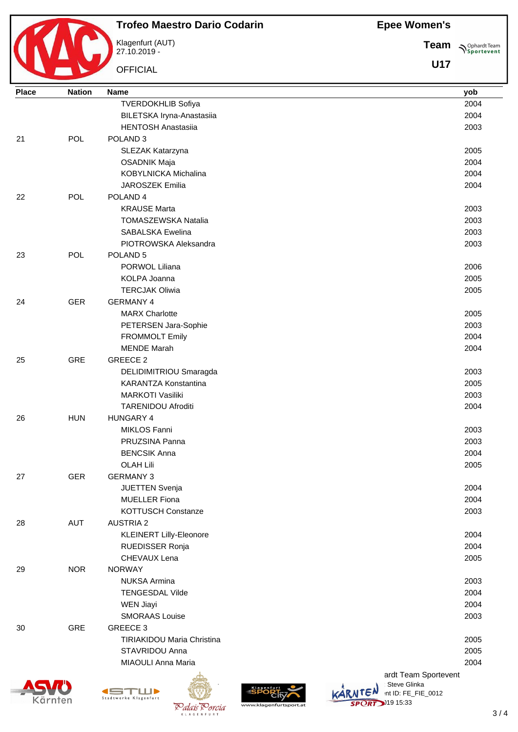**Epee Women's**



## **Trofeo Maestro Dario Codarin**

Klagenfurt (AUT) 27.10.2019 -

**OFFICIAL** 

**Team Sportevent** 

| <b>Place</b> | <b>Nation</b> | <b>Name</b>                               | yob                  |
|--------------|---------------|-------------------------------------------|----------------------|
|              |               | <b>TVERDOKHLIB Sofiya</b>                 | 2004                 |
|              |               | BILETSKA Iryna-Anastasiia                 | 2004                 |
|              |               | <b>HENTOSH Anastasiia</b>                 | 2003                 |
| 21           | POL           | POLAND <sub>3</sub>                       |                      |
|              |               | SLEZAK Katarzyna                          | 2005                 |
|              |               | <b>OSADNIK Maja</b>                       | 2004                 |
|              |               | KOBYLNICKA Michalina                      | 2004                 |
|              |               | JAROSZEK Emilia                           | 2004                 |
| 22           | POL           | POLAND <sub>4</sub>                       |                      |
|              |               | <b>KRAUSE Marta</b>                       | 2003                 |
|              |               | TOMASZEWSKA Natalia                       | 2003                 |
|              |               | <b>SABALSKA Ewelina</b>                   | 2003                 |
|              |               | PIOTROWSKA Aleksandra                     | 2003                 |
| 23           | POL           | POLAND <sub>5</sub>                       |                      |
|              |               | PORWOL Liliana                            | 2006                 |
|              |               | KOLPA Joanna                              | 2005                 |
|              |               | <b>TERCJAK Oliwia</b>                     | 2005                 |
| 24           | <b>GER</b>    | <b>GERMANY 4</b>                          |                      |
|              |               | <b>MARX Charlotte</b>                     | 2005                 |
|              |               | PETERSEN Jara-Sophie                      | 2003                 |
|              |               | <b>FROMMOLT Emily</b>                     | 2004                 |
|              |               | <b>MENDE Marah</b>                        | 2004                 |
| 25           | <b>GRE</b>    | GREECE 2                                  |                      |
|              |               | DELIDIMITRIOU Smaragda                    | 2003                 |
|              |               | <b>KARANTZA Konstantina</b>               | 2005                 |
|              |               | <b>MARKOTI Vasiliki</b>                   | 2003                 |
|              |               | <b>TARENIDOU Afroditi</b>                 | 2004                 |
| 26           | <b>HUN</b>    | <b>HUNGARY 4</b>                          |                      |
|              |               | <b>MIKLOS Fanni</b>                       | 2003                 |
|              |               | PRUZSINA Panna                            | 2003                 |
|              |               | <b>BENCSIK Anna</b>                       | 2004                 |
|              |               | <b>OLAH Lili</b>                          | 2005                 |
| 27           | <b>GER</b>    | <b>GERMANY 3</b>                          |                      |
|              |               | JUETTEN Svenja                            | 2004                 |
|              |               | <b>MUELLER Fiona</b>                      | 2004                 |
|              |               | KOTTUSCH Constanze                        | 2003                 |
| 28           | <b>AUT</b>    | <b>AUSTRIA 2</b>                          |                      |
|              |               | KLEINERT Lilly-Eleonore                   | 2004                 |
|              |               | RUEDISSER Ronja                           | 2004                 |
|              |               | CHEVAUX Lena                              | 2005                 |
| 29           | <b>NOR</b>    | <b>NORWAY</b>                             |                      |
|              |               | <b>NUKSA Armina</b>                       | 2003                 |
|              |               | <b>TENGESDAL Vilde</b>                    | 2004                 |
|              |               |                                           | 2004                 |
|              |               | <b>WEN Jiayi</b><br><b>SMORAAS Louise</b> | 2003                 |
|              |               |                                           |                      |
| 30           | GRE           | GREECE 3                                  |                      |
|              |               | <b>TIRIAKIDOU Maria Christina</b>         | 2005                 |
|              |               | STAVRIDOU Anna                            | 2005                 |
|              |               | MIAOULI Anna Maria                        | 2004                 |
|              |               |                                           | ardt Team Sportevent |







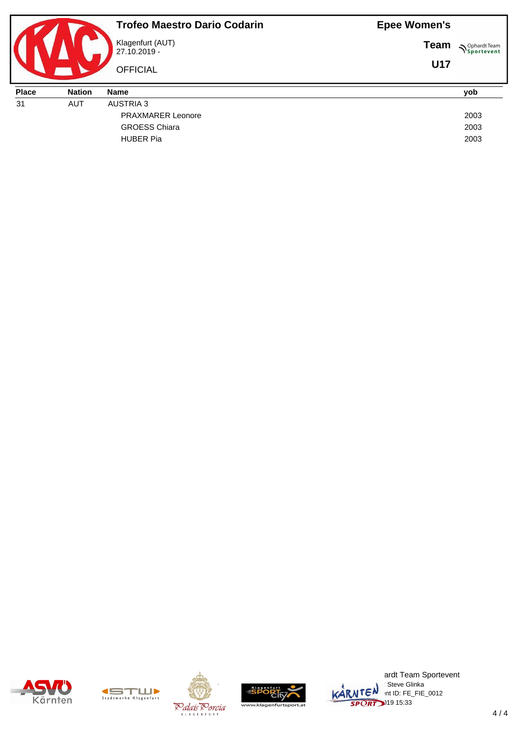|              |               | <b>Trofeo Maestro Dario Codarin</b> | <b>Epee Women's</b> |                     |
|--------------|---------------|-------------------------------------|---------------------|---------------------|
|              |               | Klagenfurt (AUT)<br>27.10.2019 -    | <b>Team</b>         | <b>N</b> Sportevent |
|              |               | <b>OFFICIAL</b>                     | <b>U17</b>          |                     |
|              |               |                                     |                     |                     |
| <b>Place</b> | <b>Nation</b> | <b>Name</b>                         |                     | yob                 |
| 31           | <b>AUT</b>    | <b>AUSTRIA 3</b>                    |                     |                     |
|              |               | <b>PRAXMARER Leonore</b>            |                     | 2003                |
|              |               | <b>GROESS Chiara</b>                |                     | 2003                |











ardt Team Sportevent **License: Steve Glinka**  $\overline{\mathsf{L}}\mathsf{C}^{\mathsf{N}}$  int ID: FE\_FIE\_0012  $\overline{ORT}$  19 15:33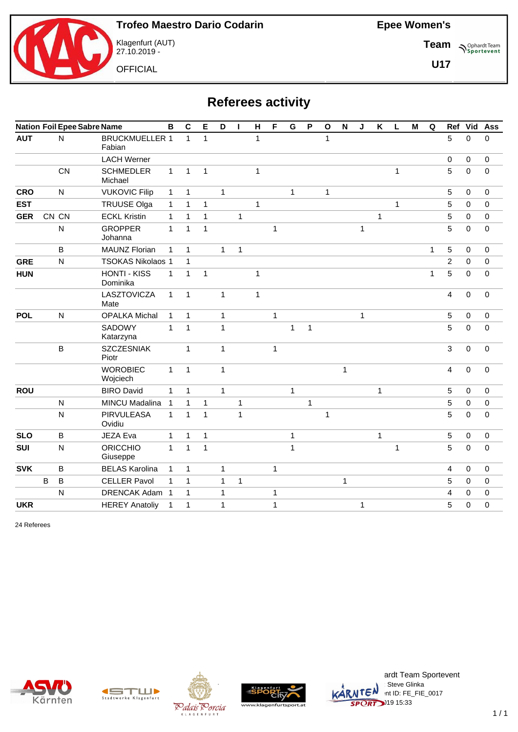

Klagenfurt (AUT) 27.10.2019 -

**OFFICIAL** 

**Team Sportevent** 

**U17**

# **Referees activity**

|            | <b>Nation Foil Epee Sabre Name</b> |                |                                 |              |              | Е            | D            | ı            | Н            | F            | G            | P            | $\mathbf{o}$ | $\mathbf N$ | J            | $\pmb{\mathsf{K}}$ | L            | M | Q            | Ref            | Vid              | Ass         |
|------------|------------------------------------|----------------|---------------------------------|--------------|--------------|--------------|--------------|--------------|--------------|--------------|--------------|--------------|--------------|-------------|--------------|--------------------|--------------|---|--------------|----------------|------------------|-------------|
| <b>AUT</b> |                                    | $\mathsf{N}$   | <b>BRUCKMUELLER 1</b><br>Fabian |              | $\mathbf{1}$ | $\mathbf{1}$ |              |              | $\mathbf{1}$ |              |              |              | $\mathbf{1}$ |             |              |                    |              |   |              | 5              | $\Omega$         | 0           |
|            |                                    |                | <b>LACH Werner</b>              |              |              |              |              |              |              |              |              |              |              |             |              |                    |              |   |              | $\pmb{0}$      | $\mathbf 0$      | $\pmb{0}$   |
|            |                                    | <b>CN</b>      | <b>SCHMEDLER</b><br>Michael     | $\mathbf{1}$ | $\mathbf{1}$ | $\mathbf{1}$ |              |              | $\mathbf{1}$ |              |              |              |              |             |              |                    | $\mathbf{1}$ |   |              | 5              | $\Omega$         | $\mathbf 0$ |
| <b>CRO</b> |                                    | $\mathsf{N}$   | <b>VUKOVIC Filip</b>            | $\mathbf{1}$ | $\mathbf{1}$ |              | $\mathbf{1}$ |              |              |              | $\mathbf{1}$ |              | $\mathbf{1}$ |             |              |                    |              |   |              | 5              | 0                | $\mathbf 0$ |
| <b>EST</b> |                                    |                | <b>TRUUSE Olga</b>              | $\mathbf{1}$ | $\mathbf{1}$ | $\mathbf{1}$ |              |              | $\mathbf{1}$ |              |              |              |              |             |              |                    | $\mathbf 1$  |   |              | $\overline{5}$ | $\mathbf 0$      | $\mathbf 0$ |
| <b>GER</b> |                                    | CN CN          | <b>ECKL Kristin</b>             | $\mathbf{1}$ | $\mathbf{1}$ | $\mathbf{1}$ |              | $\mathbf{1}$ |              |              |              |              |              |             |              | 1                  |              |   |              | $\sqrt{5}$     | 0                | $\pmb{0}$   |
|            |                                    | ${\sf N}$      | <b>GROPPER</b><br>Johanna       | $\mathbf{1}$ | $\mathbf{1}$ | $\mathbf{1}$ |              |              |              | $\mathbf{1}$ |              |              |              |             | $\mathbf{1}$ |                    |              |   |              | 5              | $\Omega$         | $\mathbf 0$ |
|            |                                    | B              | <b>MAUNZ Florian</b>            | $\mathbf{1}$ | $\mathbf{1}$ |              | $\mathbf{1}$ | 1            |              |              |              |              |              |             |              |                    |              |   | $\mathbf{1}$ | 5              | $\mathbf 0$      | $\pmb{0}$   |
| <b>GRE</b> |                                    | $\overline{N}$ | <b>TSOKAS Nikolaos 1</b>        |              | $\mathbf{1}$ |              |              |              |              |              |              |              |              |             |              |                    |              |   |              | $\overline{2}$ | $\Omega$         | $\mathbf 0$ |
| <b>HUN</b> |                                    |                | <b>HONTI - KISS</b><br>Dominika | $\mathbf{1}$ | $\mathbf{1}$ | $\mathbf{1}$ |              |              | $\mathbf{1}$ |              |              |              |              |             |              |                    |              |   | 1            | $\overline{5}$ | 0                | $\pmb{0}$   |
|            |                                    |                | LASZTOVICZA<br>Mate             | $\mathbf{1}$ | $\mathbf{1}$ |              | $\mathbf{1}$ |              | $\mathbf{1}$ |              |              |              |              |             |              |                    |              |   |              | $\overline{4}$ | $\mathbf 0$      | $\pmb{0}$   |
| <b>POL</b> |                                    | ${\sf N}$      | <b>OPALKA Michal</b>            | $\mathbf{1}$ | $\mathbf{1}$ |              | $\mathbf{1}$ |              |              | $\mathbf{1}$ |              |              |              |             | $\mathbf{1}$ |                    |              |   |              | $\mathbf 5$    | $\mathbf 0$      | $\pmb{0}$   |
|            |                                    |                | SADOWY<br>Katarzyna             | $\mathbf{1}$ | $\mathbf{1}$ |              | $\mathbf{1}$ |              |              |              | $\mathbf{1}$ | $\mathbf{1}$ |              |             |              |                    |              |   |              | 5              | $\mathbf 0$      | $\mathbf 0$ |
|            |                                    | B              | <b>SZCZESNIAK</b><br>Piotr      |              | 1            |              | $\mathbf{1}$ |              |              | 1            |              |              |              |             |              |                    |              |   |              | $\mathbf{3}$   | $\mathbf 0$      | $\pmb{0}$   |
|            |                                    |                | <b>WOROBIEC</b><br>Wojciech     | $\mathbf{1}$ | $\mathbf{1}$ |              | $\mathbf{1}$ |              |              |              |              |              |              | $\mathbf 1$ |              |                    |              |   |              | $\overline{4}$ | $\boldsymbol{0}$ | $\pmb{0}$   |
| <b>ROU</b> |                                    |                | <b>BIRO David</b>               | $\mathbf{1}$ | 1            |              | $\mathbf{1}$ |              |              |              | $\mathbf{1}$ |              |              |             |              | $\mathbf{1}$       |              |   |              | 5              | 0                | $\mathbf 0$ |
|            |                                    | ${\sf N}$      | MINCU Madalina                  | $\mathbf{1}$ | $\mathbf{1}$ | 1            |              | 1            |              |              |              | $\mathbf{1}$ |              |             |              |                    |              |   |              | $\sqrt{5}$     | 0                | $\pmb{0}$   |
|            |                                    | ${\sf N}$      | PIRVULEASA<br>Ovidiu            | $\mathbf{1}$ | $\mathbf{1}$ | $\mathbf{1}$ |              | $\mathbf{1}$ |              |              |              |              | $\mathbf{1}$ |             |              |                    |              |   |              | $\overline{5}$ | 0                | $\pmb{0}$   |
| <b>SLO</b> |                                    | B              | JEZA Eva                        | $\mathbf{1}$ | $\mathbf{1}$ | $\mathbf{1}$ |              |              |              |              | 1            |              |              |             |              | $\mathbf{1}$       |              |   |              | $\mathbf 5$    | $\mathbf 0$      | $\pmb{0}$   |
| <b>SUI</b> |                                    | ${\sf N}$      | <b>ORICCHIO</b><br>Giuseppe     | $\mathbf{1}$ | $\mathbf{1}$ | $\mathbf{1}$ |              |              |              |              | 1            |              |              |             |              |                    | $\mathbf 1$  |   |              | $\overline{5}$ | $\mathbf 0$      | $\mathbf 0$ |
| <b>SVK</b> |                                    | B              | <b>BELAS Karolina</b>           | $\mathbf{1}$ | 1            |              | $\mathbf{1}$ |              |              | 1            |              |              |              |             |              |                    |              |   |              | 4              | 0                | $\mathbf 0$ |
|            | B                                  | B              | <b>CELLER Pavol</b>             | $\mathbf{1}$ | 1            |              | 1            | 1            |              |              |              |              |              | $\mathbf 1$ |              |                    |              |   |              | 5              | 0                | $\mathbf 0$ |
|            |                                    | N              | DRENCAK Adam 1                  |              | 1            |              | 1            |              |              | 1            |              |              |              |             |              |                    |              |   |              | 4              | 0                | 0           |
| <b>UKR</b> |                                    |                | <b>HEREY Anatoliy</b>           | $\mathbf{1}$ | 1            |              | $\mathbf{1}$ |              |              | 1            |              |              |              |             | 1            |                    |              |   |              | 5              | 0                | 0           |

24 Referees











ardt Team Sportevent License: Steve Glinka KARNTEN nt ID: FE\_FIE\_0017